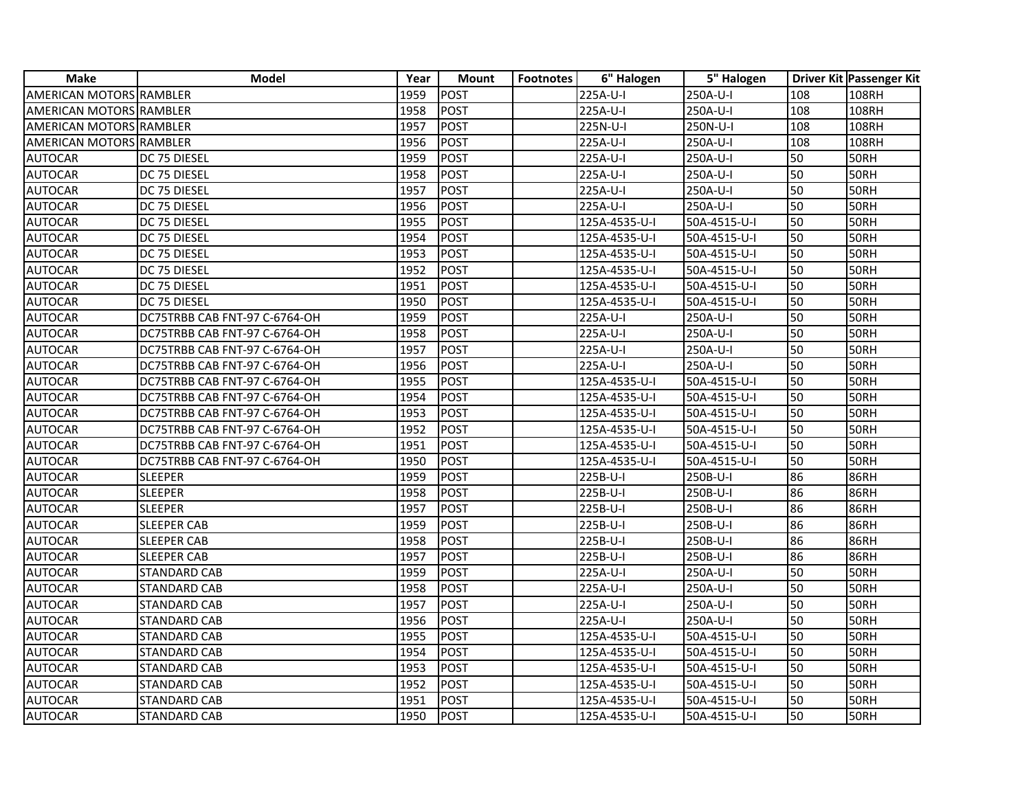| <b>Make</b>                    | <b>Model</b>                  | Year | <b>Mount</b> | <b>Footnotes</b> | 6" Halogen    | 5" Halogen   |     | Driver Kit Passenger Kit |
|--------------------------------|-------------------------------|------|--------------|------------------|---------------|--------------|-----|--------------------------|
| AMERICAN MOTORS RAMBLER        |                               | 1959 | <b>POST</b>  |                  | 225A-U-I      | 250A-U-I     | 108 | 108RH                    |
| AMERICAN MOTORS RAMBLER        |                               | 1958 | POST         |                  | 225A-U-I      | 250A-U-I     | 108 | 108RH                    |
| AMERICAN MOTORS RAMBLER        |                               | 1957 | POST         |                  | 225N-U-I      | 250N-U-I     | 108 | 108RH                    |
| <b>AMERICAN MOTORS RAMBLER</b> |                               | 1956 | <b>POST</b>  |                  | 225A-U-I      | 250A-U-I     | 108 | 108RH                    |
| <b>AUTOCAR</b>                 | DC 75 DIESEL                  | 1959 | <b>POST</b>  |                  | 225A-U-I      | 250A-U-I     | 50  | 50RH                     |
| <b>AUTOCAR</b>                 | DC 75 DIESEL                  | 1958 | POST         |                  | 225A-U-I      | 250A-U-I     | 50  | 50RH                     |
| <b>AUTOCAR</b>                 | DC 75 DIESEL                  | 1957 | POST         |                  | 225A-U-I      | 250A-U-I     | 50  | 50RH                     |
| AUTOCAR                        | DC 75 DIESEL                  | 1956 | POST         |                  | 225A-U-I      | 250A-U-I     | 50  | 50RH                     |
| AUTOCAR                        | DC 75 DIESEL                  | 1955 | POST         |                  | 125A-4535-U-I | 50A-4515-U-I | 50  | 50RH                     |
| <b>AUTOCAR</b>                 | DC 75 DIESEL                  | 1954 | POST         |                  | 125A-4535-U-I | 50A-4515-U-I | 50  | 50RH                     |
| <b>AUTOCAR</b>                 | DC 75 DIESEL                  | 1953 | POST         |                  | 125A-4535-U-I | 50A-4515-U-I | 50  | 50RH                     |
| <b>AUTOCAR</b>                 | DC 75 DIESEL                  | 1952 | <b>POST</b>  |                  | 125A-4535-U-I | 50A-4515-U-I | 50  | <b>50RH</b>              |
| <b>AUTOCAR</b>                 | DC 75 DIESEL                  | 1951 | POST         |                  | 125A-4535-U-I | 50A-4515-U-I | 50  | 50RH                     |
| <b>AUTOCAR</b>                 | DC 75 DIESEL                  | 1950 | <b>POST</b>  |                  | 125A-4535-U-I | 50A-4515-U-I | 50  | 50RH                     |
| <b>AUTOCAR</b>                 | DC75TRBB CAB FNT-97 C-6764-OH | 1959 | POST         |                  | 225A-U-I      | 250A-U-I     | 50  | 50RH                     |
| <b>AUTOCAR</b>                 | DC75TRBB CAB FNT-97 C-6764-OH | 1958 | POST         |                  | 225A-U-I      | 250A-U-I     | 50  | 50RH                     |
| <b>AUTOCAR</b>                 | DC75TRBB CAB FNT-97 C-6764-OH | 1957 | POST         |                  | 225A-U-I      | 250A-U-I     | 50  | 50RH                     |
| <b>AUTOCAR</b>                 | DC75TRBB CAB FNT-97 C-6764-OH | 1956 | <b>POST</b>  |                  | 225A-U-I      | 250A-U-I     | 50  | 50RH                     |
| AUTOCAR                        | DC75TRBB CAB FNT-97 C-6764-OH | 1955 | POST         |                  | 125A-4535-U-I | 50A-4515-U-I | 50  | 50RH                     |
| AUTOCAR                        | DC75TRBB CAB FNT-97 C-6764-OH | 1954 | POST         |                  | 125A-4535-U-I | 50A-4515-U-I | 50  | 50RH                     |
| AUTOCAR                        | DC75TRBB CAB FNT-97 C-6764-OH | 1953 | POST         |                  | 125A-4535-U-I | 50A-4515-U-I | 50  | 50RH                     |
| <b>AUTOCAR</b>                 | DC75TRBB CAB FNT-97 C-6764-OH | 1952 | POST         |                  | 125A-4535-U-I | 50A-4515-U-I | 50  | 50RH                     |
| <b>AUTOCAR</b>                 | DC75TRBB CAB FNT-97 C-6764-OH | 1951 | POST         |                  | 125A-4535-U-I | 50A-4515-U-I | 50  | 50RH                     |
| <b>AUTOCAR</b>                 | DC75TRBB CAB FNT-97 C-6764-OH | 1950 | POST         |                  | 125A-4535-U-I | 50A-4515-U-I | 50  | 50RH                     |
| <b>AUTOCAR</b>                 | <b>SLEEPER</b>                | 1959 | POST         |                  | 225B-U-I      | 250B-U-I     | 86  | 86RH                     |
| AUTOCAR                        | <b>SLEEPER</b>                | 1958 | <b>POST</b>  |                  | 225B-U-I      | 250B-U-I     | 86  | 86RH                     |
| AUTOCAR                        | <b>SLEEPER</b>                | 1957 | <b>POST</b>  |                  | 225B-U-I      | 250B-U-I     | 86  | 86RH                     |
| <b>AUTOCAR</b>                 | <b>SLEEPER CAB</b>            | 1959 | POST         |                  | 225B-U-I      | 250B-U-I     | 86  | 86RH                     |
| AUTOCAR                        | <b>SLEEPER CAB</b>            | 1958 | <b>POST</b>  |                  | 225B-U-I      | 250B-U-I     | 86  | 86RH                     |
| <b>AUTOCAR</b>                 | <b>SLEEPER CAB</b>            | 1957 | POST         |                  | 225B-U-I      | 250B-U-I     | 86  | 86RH                     |
| <b>AUTOCAR</b>                 | <b>STANDARD CAB</b>           | 1959 | POST         |                  | 225A-U-I      | 250A-U-I     | 50  | 50RH                     |
| AUTOCAR                        | <b>STANDARD CAB</b>           | 1958 | POST         |                  | 225A-U-I      | 250A-U-I     | 50  | 50RH                     |
| AUTOCAR                        | <b>STANDARD CAB</b>           | 1957 | POST         |                  | 225A-U-I      | 250A-U-I     | 50  | 50RH                     |
| <b>AUTOCAR</b>                 | <b>STANDARD CAB</b>           | 1956 | POST         |                  | 225A-U-I      | 250A-U-I     | 50  | 50RH                     |
| <b>AUTOCAR</b>                 | <b>STANDARD CAB</b>           | 1955 | <b>POST</b>  |                  | 125A-4535-U-I | 50A-4515-U-I | 50  | 50RH                     |
| AUTOCAR                        | <b>STANDARD CAB</b>           | 1954 | POST         |                  | 125A-4535-U-I | 50A-4515-U-I | 50  | 50RH                     |
| AUTOCAR                        | <b>STANDARD CAB</b>           | 1953 | <b>POST</b>  |                  | 125A-4535-U-I | 50A-4515-U-I | 50  | 50RH                     |
| AUTOCAR                        | STANDARD CAB                  | 1952 | <b>POST</b>  |                  | 125A-4535-U-I | 50A-4515-U-I | 50  | 50RH                     |
| AUTOCAR                        | <b>STANDARD CAB</b>           | 1951 | <b>POST</b>  |                  | 125A-4535-U-I | 50A-4515-U-I | 50  | 50RH                     |
| <b>AUTOCAR</b>                 | <b>STANDARD CAB</b>           | 1950 | POST         |                  | 125A-4535-U-I | 50A-4515-U-I | 50  | 50RH                     |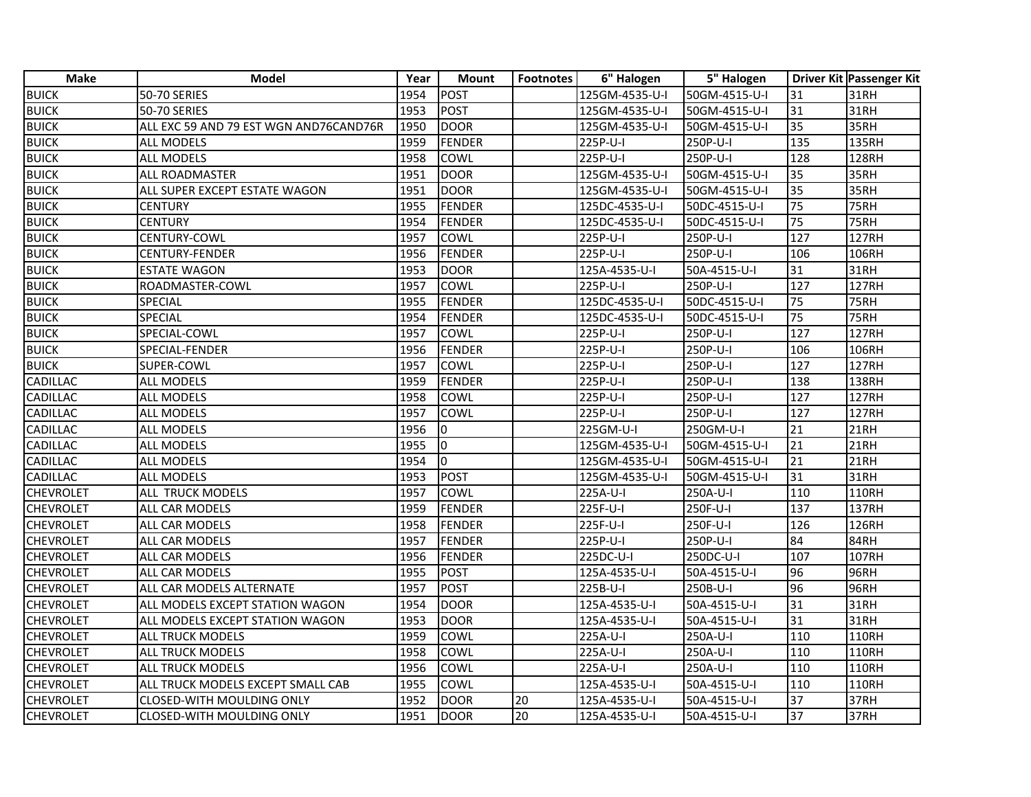| <b>Make</b>      | <b>Model</b>                           | Year | <b>Mount</b>            | <b>Footnotes</b> | 6" Halogen     | 5" Halogen    |                 | Driver Kit Passenger Kit |
|------------------|----------------------------------------|------|-------------------------|------------------|----------------|---------------|-----------------|--------------------------|
| <b>BUICK</b>     | <b>50-70 SERIES</b>                    | 1954 | POST                    |                  | 125GM-4535-U-I | 50GM-4515-U-I | 31              | 31RH                     |
| <b>BUICK</b>     | <b>50-70 SERIES</b>                    | 1953 | <b>POST</b>             |                  | 125GM-4535-U-I | 50GM-4515-U-I | 31              | 31RH                     |
| <b>BUICK</b>     | ALL EXC 59 AND 79 EST WGN AND76CAND76R | 1950 | <b>DOOR</b>             |                  | 125GM-4535-U-I | 50GM-4515-U-I | 35              | 35RH                     |
| <b>BUICK</b>     | ALL MODELS                             | 1959 | <b>FENDER</b>           |                  | 225P-U-I       | 250P-U-I      | 135             | 135RH                    |
| <b>BUICK</b>     | <b>ALL MODELS</b>                      | 1958 | COWL                    |                  | 225P-U-I       | 250P-U-I      | 128             | 128RH                    |
| <b>BUICK</b>     | ALL ROADMASTER                         | 1951 | <b>DOOR</b>             |                  | 125GM-4535-U-I | 50GM-4515-U-I | 35              | 35RH                     |
| <b>BUICK</b>     | ALL SUPER EXCEPT ESTATE WAGON          | 1951 | <b>DOOR</b>             |                  | 125GM-4535-U-I | 50GM-4515-U-I | 35              | 35RH                     |
| <b>BUICK</b>     | <b>CENTURY</b>                         | 1955 | FENDER                  |                  | 125DC-4535-U-I | 50DC-4515-U-I | 75              | <b>75RH</b>              |
| <b>BUICK</b>     | <b>CENTURY</b>                         | 1954 | <b>FENDER</b>           |                  | 125DC-4535-U-I | 50DC-4515-U-I | 75              | <b>75RH</b>              |
| <b>BUICK</b>     | CENTURY-COWL                           | 1957 | <b>COWL</b>             |                  | 225P-U-I       | 250P-U-I      | 127             | <b>127RH</b>             |
| <b>BUICK</b>     | <b>CENTURY-FENDER</b>                  | 1956 | FENDER                  |                  | 225P-U-I       | 250P-U-I      | 106             | 106RH                    |
| <b>BUICK</b>     | <b>ESTATE WAGON</b>                    | 1953 | <b>DOOR</b>             |                  | 125A-4535-U-I  | 50A-4515-U-I  | 31              | 31RH                     |
| <b>BUICK</b>     | ROADMASTER-COWL                        | 1957 | <b>COWL</b>             |                  | 225P-U-I       | 250P-U-I      | 127             | 127RH                    |
| <b>BUICK</b>     | SPECIAL                                | 1955 | <b>FENDER</b>           |                  | 125DC-4535-U-I | 50DC-4515-U-I | 75              | <b>75RH</b>              |
| <b>BUICK</b>     | <b>SPECIAL</b>                         | 1954 | <b>FENDER</b>           |                  | 125DC-4535-U-I | 50DC-4515-U-I | 75              | 75RH                     |
| <b>BUICK</b>     | SPECIAL-COWL                           | 1957 | COWL                    |                  | 225P-U-I       | 250P-U-I      | 127             | <b>127RH</b>             |
| <b>BUICK</b>     | SPECIAL-FENDER                         | 1956 | FENDER                  |                  | 225P-U-I       | 250P-U-I      | 106             | 106RH                    |
| <b>BUICK</b>     | SUPER-COWL                             | 1957 | <b>COWL</b>             |                  | 225P-U-I       | 250P-U-I      | 127             | <b>127RH</b>             |
| <b>CADILLAC</b>  | <b>ALL MODELS</b>                      | 1959 | <b>FENDER</b>           |                  | 225P-U-I       | 250P-U-I      | 138             | 138RH                    |
| <b>CADILLAC</b>  | <b>ALL MODELS</b>                      | 1958 | COWL                    |                  | 225P-U-I       | 250P-U-I      | 127             | <b>127RH</b>             |
| <b>CADILLAC</b>  | ALL MODELS                             | 1957 | <b>COWL</b>             |                  | 225P-U-I       | 250P-U-I      | 127             | 127RH                    |
| <b>CADILLAC</b>  | ALL MODELS                             | 1956 | $\Omega$                |                  | 225GM-U-I      | 250GM-U-I     | 21              | 21RH                     |
| <b>CADILLAC</b>  | <b>ALL MODELS</b>                      | 1955 | $\overline{\mathbf{0}}$ |                  | 125GM-4535-U-I | 50GM-4515-U-I | $\overline{21}$ | 21RH                     |
| <b>CADILLAC</b>  | <b>ALL MODELS</b>                      | 1954 | lo.                     |                  | 125GM-4535-U-I | 50GM-4515-U-I | 21              | <b>21RH</b>              |
| <b>CADILLAC</b>  | <b>ALL MODELS</b>                      | 1953 | POST                    |                  | 125GM-4535-U-I | 50GM-4515-U-I | 31              | 31RH                     |
| <b>CHEVROLET</b> | ALL TRUCK MODELS                       | 1957 | <b>COWL</b>             |                  | 225A-U-I       | 250A-U-I      | 110             | 110RH                    |
| <b>CHEVROLET</b> | ALL CAR MODELS                         | 1959 | FENDER                  |                  | 225F-U-I       | 250F-U-I      | 137             | <b>137RH</b>             |
| <b>CHEVROLET</b> | ALL CAR MODELS                         | 1958 | FENDER                  |                  | 225F-U-I       | 250F-U-I      | 126             | 126RH                    |
| <b>CHEVROLET</b> | ALL CAR MODELS                         | 1957 | <b>FENDER</b>           |                  | 225P-U-I       | 250P-U-I      | 84              | 84RH                     |
| <b>CHEVROLET</b> | ALL CAR MODELS                         | 1956 | FENDER                  |                  | 225DC-U-I      | 250DC-U-I     | 107             | 107RH                    |
| <b>CHEVROLET</b> | ALL CAR MODELS                         | 1955 | <b>POST</b>             |                  | 125A-4535-U-I  | 50A-4515-U-I  | 96              | 96RH                     |
| <b>CHEVROLET</b> | ALL CAR MODELS ALTERNATE               | 1957 | <b>POST</b>             |                  | 225B-U-I       | 250B-U-I      | 96              | 96RH                     |
| <b>CHEVROLET</b> | ALL MODELS EXCEPT STATION WAGON        | 1954 | <b>DOOR</b>             |                  | 125A-4535-U-I  | 50A-4515-U-I  | 31              | 31RH                     |
| <b>CHEVROLET</b> | ALL MODELS EXCEPT STATION WAGON        | 1953 | <b>DOOR</b>             |                  | 125A-4535-U-I  | 50A-4515-U-I  | 31              | 31RH                     |
| <b>CHEVROLET</b> | <b>ALL TRUCK MODELS</b>                | 1959 | <b>COWL</b>             |                  | 225A-U-I       | 250A-U-I      | 110             | 110RH                    |
| <b>CHEVROLET</b> | <b>ALL TRUCK MODELS</b>                | 1958 | <b>COWL</b>             |                  | 225A-U-I       | 250A-U-I      | 110             | <b>110RH</b>             |
| <b>CHEVROLET</b> | <b>ALL TRUCK MODELS</b>                | 1956 | COWL                    |                  | 225A-U-I       | 250A-U-I      | 110             | 110RH                    |
| <b>CHEVROLET</b> | ALL TRUCK MODELS EXCEPT SMALL CAB      | 1955 | COWL                    |                  | 125A-4535-U-I  | 50A-4515-U-I  | 110             | <b>110RH</b>             |
| <b>CHEVROLET</b> | CLOSED-WITH MOULDING ONLY              | 1952 | <b>DOOR</b>             | 20               | 125A-4535-U-I  | 50A-4515-U-I  | 37              | 37RH                     |
| <b>CHEVROLET</b> | CLOSED-WITH MOULDING ONLY              | 1951 | DOOR                    | 20               | 125A-4535-U-I  | 50A-4515-U-I  | 37              | 37RH                     |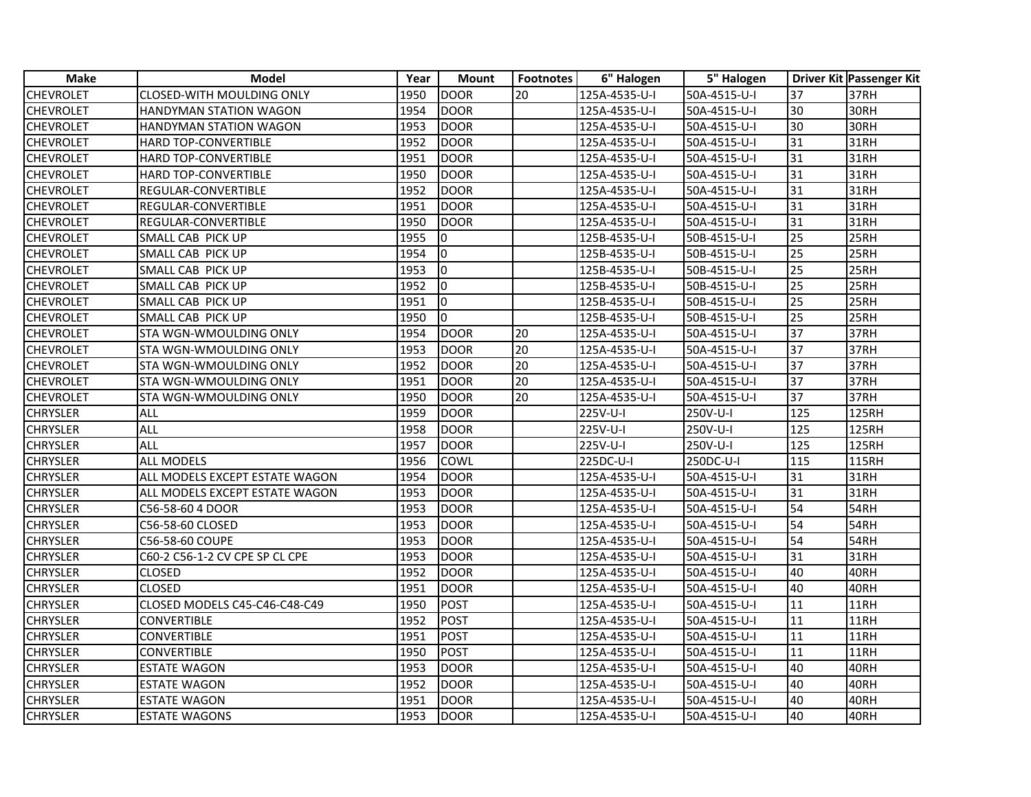| Make             | <b>Model</b>                   | Year | <b>Mount</b>              | <b>Footnotes</b> | 6" Halogen    | 5" Halogen   |                 | Driver Kit Passenger Kit |
|------------------|--------------------------------|------|---------------------------|------------------|---------------|--------------|-----------------|--------------------------|
| <b>CHEVROLET</b> | CLOSED-WITH MOULDING ONLY      | 1950 | <b>DOOR</b>               | 20               | 125A-4535-U-I | 50A-4515-U-I | 37              | 37RH                     |
| <b>CHEVROLET</b> | HANDYMAN STATION WAGON         | 1954 | <b>DOOR</b>               |                  | 125A-4535-U-I | 50A-4515-U-I | 30              | 30RH                     |
| <b>CHEVROLET</b> | HANDYMAN STATION WAGON         | 1953 | <b>DOOR</b>               |                  | 125A-4535-U-I | 50A-4515-U-I | 30              | 30RH                     |
| <b>CHEVROLET</b> | <b>HARD TOP-CONVERTIBLE</b>    | 1952 | <b>DOOR</b>               |                  | 125A-4535-U-I | 50A-4515-U-I | 31              | 31RH                     |
| <b>CHEVROLET</b> | HARD TOP-CONVERTIBLE           | 1951 | <b>DOOR</b>               |                  | 125A-4535-U-I | 50A-4515-U-I | 31              | 31RH                     |
| <b>CHEVROLET</b> | HARD TOP-CONVERTIBLE           | 1950 | DOOR                      |                  | 125A-4535-U-I | 50A-4515-U-I | 31              | 31RH                     |
| <b>CHEVROLET</b> | REGULAR-CONVERTIBLE            | 1952 | DOOR                      |                  | 125A-4535-U-I | 50A-4515-U-I | 31              | 31RH                     |
| <b>CHEVROLET</b> | REGULAR-CONVERTIBLE            | 1951 | <b>DOOR</b>               |                  | 125A-4535-U-I | 50A-4515-U-I | 31              | 31RH                     |
| <b>CHEVROLET</b> | REGULAR-CONVERTIBLE            | 1950 | <b>DOOR</b>               |                  | 125A-4535-U-I | 50A-4515-U-I | 31              | 31RH                     |
| <b>CHEVROLET</b> | SMALL CAB PICK UP              | 1955 | 10                        |                  | 125B-4535-U-I | 50B-4515-U-I | 25              | 25RH                     |
| <b>CHEVROLET</b> | SMALL CAB PICK UP              | 1954 | Io.                       |                  | 125B-4535-U-I | 50B-4515-U-I | 25              | 25RH                     |
| <b>CHEVROLET</b> | SMALL CAB PICK UP              | 1953 | $\mathsf{I}^{\mathsf{0}}$ |                  | 125B-4535-U-I | 50B-4515-U-I | 25              | 25RH                     |
| CHEVROLET        | SMALL CAB PICK UP              | 1952 | Io.                       |                  | 125B-4535-U-I | 50B-4515-U-I | 25              | 25RH                     |
| <b>CHEVROLET</b> | SMALL CAB PICK UP              | 1951 | l0                        |                  | 125B-4535-U-I | 50B-4515-U-I | 25              | 25RH                     |
| <b>CHEVROLET</b> | SMALL CAB PICK UP              | 1950 | Iо                        |                  | 125B-4535-U-I | 50B-4515-U-I | 25              | 25RH                     |
| <b>CHEVROLET</b> | STA WGN-WMOULDING ONLY         | 1954 | DOOR                      | 20               | 125A-4535-U-I | 50A-4515-U-I | 37              | 37RH                     |
| <b>CHEVROLET</b> | STA WGN-WMOULDING ONLY         | 1953 | DOOR                      | 20               | 125A-4535-U-I | 50A-4515-U-I | 37              | 37RH                     |
| <b>CHEVROLET</b> | STA WGN-WMOULDING ONLY         | 1952 | DOOR                      | 20               | 125A-4535-U-I | 50A-4515-U-I | 37              | 37RH                     |
| <b>CHEVROLET</b> | STA WGN-WMOULDING ONLY         | 1951 | <b>DOOR</b>               | 20               | 125A-4535-U-I | 50A-4515-U-I | 37              | 37RH                     |
| <b>CHEVROLET</b> | STA WGN-WMOULDING ONLY         | 1950 | <b>DOOR</b>               | 20               | 125A-4535-U-I | 50A-4515-U-I | 37              | 37RH                     |
| <b>CHRYSLER</b>  | ALL                            | 1959 | <b>DOOR</b>               |                  | 225V-U-I      | 250V-U-I     | 125             | 125RH                    |
| <b>CHRYSLER</b>  | <b>ALL</b>                     | 1958 | <b>DOOR</b>               |                  | 225V-U-I      | 250V-U-I     | 125             | 125RH                    |
| <b>CHRYSLER</b>  | ALL                            | 1957 | <b>DOOR</b>               |                  | 225V-U-I      | 250V-U-I     | 125             | 125RH                    |
| <b>CHRYSLER</b>  | <b>ALL MODELS</b>              | 1956 | <b>COWL</b>               |                  | 225DC-U-I     | 250DC-U-I    | 115             | 115RH                    |
| <b>CHRYSLER</b>  | ALL MODELS EXCEPT ESTATE WAGON | 1954 | <b>DOOR</b>               |                  | 125A-4535-U-I | 50A-4515-U-I | 31              | 31RH                     |
| <b>CHRYSLER</b>  | ALL MODELS EXCEPT ESTATE WAGON | 1953 | <b>DOOR</b>               |                  | 125A-4535-U-I | 50A-4515-U-I | 31              | 31RH                     |
| <b>CHRYSLER</b>  | C56-58-60 4 DOOR               | 1953 | <b>DOOR</b>               |                  | 125A-4535-U-I | 50A-4515-U-I | 54              | 54RH                     |
| <b>CHRYSLER</b>  | C56-58-60 CLOSED               | 1953 | <b>DOOR</b>               |                  | 125A-4535-U-I | 50A-4515-U-I | 54              | 54RH                     |
| <b>CHRYSLER</b>  | C56-58-60 COUPE                | 1953 | DOOR                      |                  | 125A-4535-U-I | 50A-4515-U-I | 54              | 54RH                     |
| <b>CHRYSLER</b>  | C60-2 C56-1-2 CV CPE SP CL CPE | 1953 | <b>DOOR</b>               |                  | 125A-4535-U-I | 50A-4515-U-I | 31              | 31RH                     |
| <b>CHRYSLER</b>  | <b>CLOSED</b>                  | 1952 | <b>DOOR</b>               |                  | 125A-4535-U-I | 50A-4515-U-I | 40              | 40RH                     |
| <b>CHRYSLER</b>  | <b>CLOSED</b>                  | 1951 | <b>DOOR</b>               |                  | 125A-4535-U-I | 50A-4515-U-I | 40              | 40RH                     |
| <b>CHRYSLER</b>  | CLOSED MODELS C45-C46-C48-C49  | 1950 | <b>POST</b>               |                  | 125A-4535-U-I | 50A-4515-U-I | 11              | 11RH                     |
| <b>CHRYSLER</b>  | CONVERTIBLE                    | 1952 | <b>POST</b>               |                  | 125A-4535-U-I | 50A-4515-U-I | 11              | 11RH                     |
| <b>CHRYSLER</b>  | <b>CONVERTIBLE</b>             | 1951 | <b>POST</b>               |                  | 125A-4535-U-I | 50A-4515-U-I | 11              | <b>11RH</b>              |
| <b>CHRYSLER</b>  | <b>CONVERTIBLE</b>             | 1950 | <b>POST</b>               |                  | 125A-4535-U-I | 50A-4515-U-I | $\overline{11}$ | <b>11RH</b>              |
| <b>CHRYSLER</b>  | <b>ESTATE WAGON</b>            | 1953 | <b>DOOR</b>               |                  | 125A-4535-U-I | 50A-4515-U-I | 40              | 40RH                     |
| <b>CHRYSLER</b>  | ESTATE WAGON                   | 1952 | <b>DOOR</b>               |                  | 125A-4535-U-I | 50A-4515-U-I | 40              | 40RH                     |
| <b>CHRYSLER</b>  | ESTATE WAGON                   | 1951 | <b>DOOR</b>               |                  | 125A-4535-U-I | 50A-4515-U-I | 40              | 40RH                     |
| <b>CHRYSLER</b>  | <b>ESTATE WAGONS</b>           | 1953 | <b>DOOR</b>               |                  | 125A-4535-U-I | 50A-4515-U-I | 40              | 40RH                     |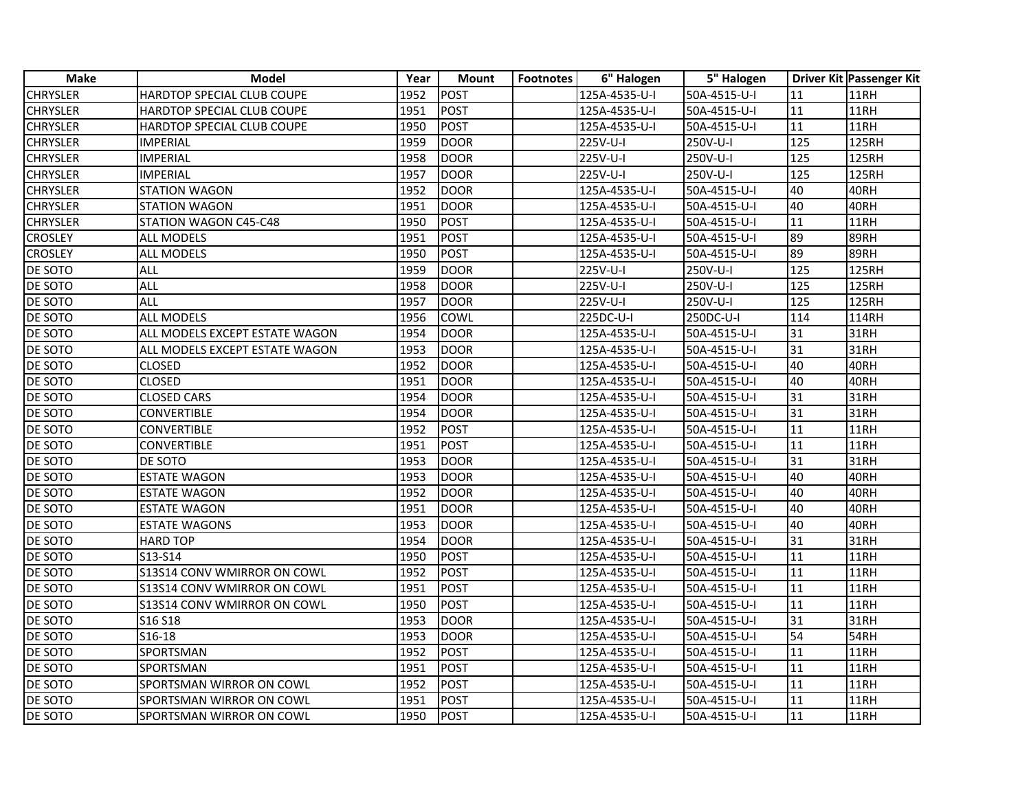| <b>Make</b>     | <b>Model</b>                   | Year | <b>Mount</b> | <b>Footnotes</b> | 6" Halogen    | 5" Halogen   |                 | Driver Kit Passenger Kit |
|-----------------|--------------------------------|------|--------------|------------------|---------------|--------------|-----------------|--------------------------|
| <b>CHRYSLER</b> | HARDTOP SPECIAL CLUB COUPE     | 1952 | <b>POST</b>  |                  | 125A-4535-U-I | 50A-4515-U-I | 11              | 11RH                     |
| <b>CHRYSLER</b> | HARDTOP SPECIAL CLUB COUPE     | 1951 | <b>POST</b>  |                  | 125A-4535-U-I | 50A-4515-U-I | 11              | <b>11RH</b>              |
| <b>CHRYSLER</b> | HARDTOP SPECIAL CLUB COUPE     | 1950 | POST         |                  | 125A-4535-U-I | 50A-4515-U-I | 11              | 11RH                     |
| <b>CHRYSLER</b> | <b>IMPERIAL</b>                | 1959 | <b>DOOR</b>  |                  | 225V-U-I      | 250V-U-I     | 125             | <b>125RH</b>             |
| <b>CHRYSLER</b> | <b>IMPERIAL</b>                | 1958 | <b>DOOR</b>  |                  | 225V-U-I      | 250V-U-I     | 125             | $\overline{1}$ 25RH      |
| <b>CHRYSLER</b> | <b>IMPERIAL</b>                | 1957 | <b>DOOR</b>  |                  | 225V-U-I      | 250V-U-I     | $\frac{125}{2}$ | <b>125RH</b>             |
| <b>CHRYSLER</b> | <b>STATION WAGON</b>           | 1952 | <b>DOOR</b>  |                  | 125A-4535-U-I | 50A-4515-U-I | 40              | 40RH                     |
| <b>CHRYSLER</b> | <b>STATION WAGON</b>           | 1951 | <b>DOOR</b>  |                  | 125A-4535-U-I | 50A-4515-U-I | 40              | 40RH                     |
| <b>CHRYSLER</b> | STATION WAGON C45-C48          | 1950 | <b>POST</b>  |                  | 125A-4535-U-I | 50A-4515-U-I | 11              | 11RH                     |
| <b>CROSLEY</b>  | ALL MODELS                     | 1951 | <b>POST</b>  |                  | 125A-4535-U-I | 50A-4515-U-I | 89              | 89RH                     |
| <b>CROSLEY</b>  | ALL MODELS                     | 1950 | <b>POST</b>  |                  | 125A-4535-U-I | 50A-4515-U-I | 89              | 89RH                     |
| <b>DE SOTO</b>  | ALL                            | 1959 | <b>DOOR</b>  |                  | 225V-U-I      | 250V-U-I     | 125             | 125RH                    |
| <b>DE SOTO</b>  | <b>ALL</b>                     | 1958 | <b>DOOR</b>  |                  | 225V-U-I      | 250V-U-I     | 125             | 125RH                    |
| <b>DE SOTO</b>  | <b>ALL</b>                     | 1957 | <b>DOOR</b>  |                  | 225V-U-I      | 250V-U-I     | 125             | <b>125RH</b>             |
| DE SOTO         | <b>ALL MODELS</b>              | 1956 | COWL         |                  | 225DC-U-I     | 250DC-U-I    | 114             | 114RH                    |
| DE SOTO         | ALL MODELS EXCEPT ESTATE WAGON | 1954 | <b>DOOR</b>  |                  | 125A-4535-U-I | 50A-4515-U-I | 31              | 31RH                     |
| <b>DE SOTO</b>  | ALL MODELS EXCEPT ESTATE WAGON | 1953 | <b>DOOR</b>  |                  | 125A-4535-U-I | 50A-4515-U-I | 31              | 31RH                     |
| <b>DE SOTO</b>  | <b>CLOSED</b>                  | 1952 | <b>DOOR</b>  |                  | 125A-4535-U-I | 50A-4515-U-I | 40              | 40RH                     |
| <b>DE SOTO</b>  | <b>CLOSED</b>                  | 1951 | <b>DOOR</b>  |                  | 125A-4535-U-I | 50A-4515-U-I | 40              | 40RH                     |
| DE SOTO         | <b>CLOSED CARS</b>             | 1954 | <b>DOOR</b>  |                  | 125A-4535-U-I | 50A-4515-U-I | 31              | 31RH                     |
| DE SOTO         | CONVERTIBLE                    | 1954 | <b>DOOR</b>  |                  | 125A-4535-U-I | 50A-4515-U-I | 31              | 31RH                     |
| DE SOTO         | CONVERTIBLE                    | 1952 | <b>POST</b>  |                  | 125A-4535-U-I | 50A-4515-U-I | 11              | 11RH                     |
| DE SOTO         | <b>CONVERTIBLE</b>             | 1951 | <b>POST</b>  |                  | 125A-4535-U-I | 50A-4515-U-I | 11              | 11RH                     |
| <b>DE SOTO</b>  | DE SOTO                        | 1953 | <b>DOOR</b>  |                  | 125A-4535-U-I | 50A-4515-U-I | 31              | 31RH                     |
| DE SOTO         | <b>ESTATE WAGON</b>            | 1953 | <b>DOOR</b>  |                  | 125A-4535-U-I | 50A-4515-U-I | 40              | 40RH                     |
| <b>DE SOTO</b>  | <b>ESTATE WAGON</b>            | 1952 | <b>DOOR</b>  |                  | 125A-4535-U-I | 50A-4515-U-I | 40              | 40RH                     |
| DE SOTO         | <b>ESTATE WAGON</b>            | 1951 | <b>DOOR</b>  |                  | 125A-4535-U-I | 50A-4515-U-I | 40              | 40RH                     |
| DE SOTO         | <b>ESTATE WAGONS</b>           | 1953 | <b>DOOR</b>  |                  | 125A-4535-U-I | 50A-4515-U-I | 40              | 40RH                     |
| <b>DE SOTO</b>  | <b>HARD TOP</b>                | 1954 | <b>DOOR</b>  |                  | 125A-4535-U-I | 50A-4515-U-I | 31              | 31RH                     |
| <b>DE SOTO</b>  | S13-S14                        | 1950 | <b>POST</b>  |                  | 125A-4535-U-I | 50A-4515-U-I | 11              | 11RH                     |
| <b>DE SOTO</b>  | S13S14 CONV WMIRROR ON COWL    | 1952 | <b>POST</b>  |                  | 125A-4535-U-I | 50A-4515-U-I | 11              | 11RH                     |
| DE SOTO         | S13S14 CONV WMIRROR ON COWL    | 1951 | <b>POST</b>  |                  | 125A-4535-U-I | 50A-4515-U-I | 11              | 11RH                     |
| DE SOTO         | S13S14 CONV WMIRROR ON COWL    | 1950 | <b>POST</b>  |                  | 125A-4535-U-I | 50A-4515-U-I | 11              | 11RH                     |
| DE SOTO         | S16 S18                        | 1953 | <b>DOOR</b>  |                  | 125A-4535-U-I | 50A-4515-U-I | 31              | 31RH                     |
| <b>DE SOTO</b>  | S16-18                         | 1953 | <b>DOOR</b>  |                  | 125A-4535-U-I | 50A-4515-U-I | 54              | 54RH                     |
| <b>DE SOTO</b>  | SPORTSMAN                      | 1952 | <b>POST</b>  |                  | 125A-4535-U-I | 50A-4515-U-I | 11              | 11RH                     |
| <b>DE SOTO</b>  | SPORTSMAN                      | 1951 | <b>POST</b>  |                  | 125A-4535-U-I | 50A-4515-U-I | 11              | 11RH                     |
| DE SOTO         | SPORTSMAN WIRROR ON COWL       | 1952 | <b>POST</b>  |                  | 125A-4535-U-I | 50A-4515-U-I | 11              | 11RH                     |
| DE SOTO         | SPORTSMAN WIRROR ON COWL       | 1951 | <b>POST</b>  |                  | 125A-4535-U-I | 50A-4515-U-I | 11              | 11RH                     |
| <b>DE SOTO</b>  | SPORTSMAN WIRROR ON COWL       | 1950 | POST         |                  | 125A-4535-U-I | 50A-4515-U-I | 11              | 11RH                     |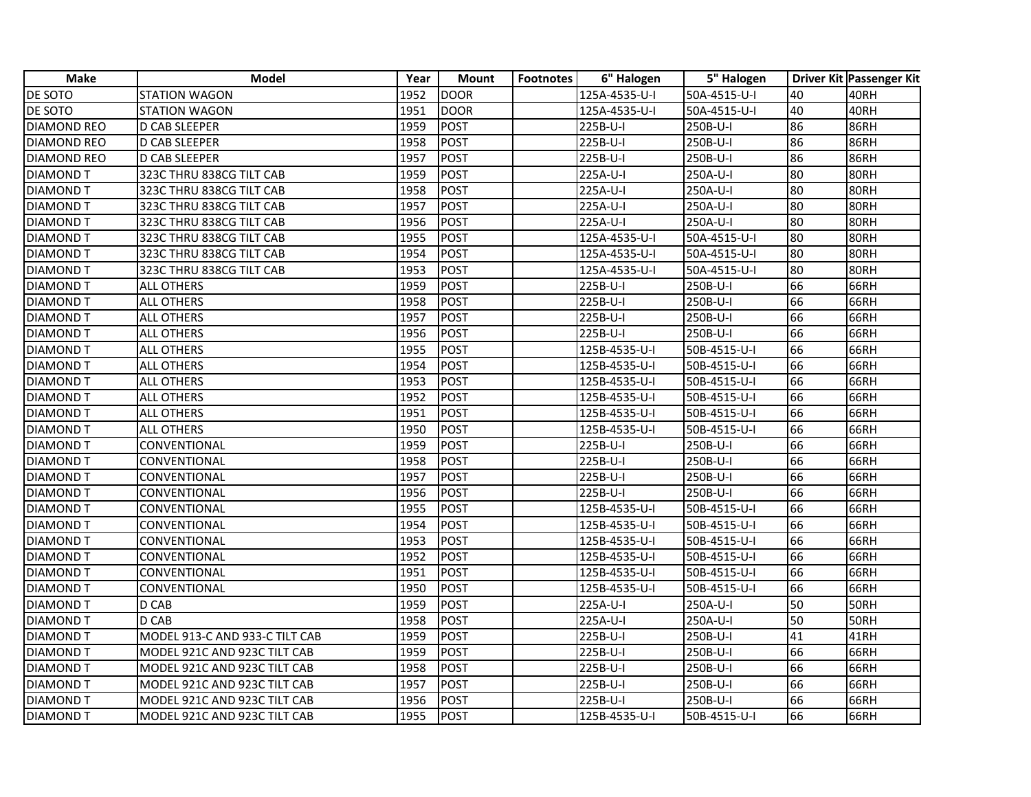| <b>Make</b>        | Model                          | Year | <b>Mount</b> | <b>Footnotes</b> | 6" Halogen    | 5" Halogen   |    | Driver Kit Passenger Kit |
|--------------------|--------------------------------|------|--------------|------------------|---------------|--------------|----|--------------------------|
| <b>DE SOTO</b>     | <b>STATION WAGON</b>           | 1952 | DOOR         |                  | 125A-4535-U-I | 50A-4515-U-I | 40 | 40RH                     |
| <b>DE SOTO</b>     | <b>STATION WAGON</b>           | 1951 | DOOR         |                  | 125A-4535-U-I | 50A-4515-U-I | 40 | 40RH                     |
| <b>DIAMOND REO</b> | <b>D CAB SLEEPER</b>           | 1959 | POST         |                  | 225B-U-I      | 250B-U-I     | 86 | 86RH                     |
| <b>DIAMOND REO</b> | <b>D CAB SLEEPER</b>           | 1958 | POST         |                  | 225B-U-I      | 250B-U-I     | 86 | 86RH                     |
| <b>DIAMOND REO</b> | D CAB SLEEPER                  | 1957 | POST         |                  | 225B-U-I      | 250B-U-I     | 86 | 86RH                     |
| <b>DIAMOND T</b>   | 323C THRU 838CG TILT CAB       | 1959 | POST         |                  | 225A-U-I      | 250A-U-I     | 80 | 80RH                     |
| <b>DIAMOND T</b>   | 323C THRU 838CG TILT CAB       | 1958 | POST         |                  | 225A-U-I      | 250A-U-I     | 80 | 80RH                     |
| <b>DIAMOND T</b>   | 323C THRU 838CG TILT CAB       | 1957 | POST         |                  | 225A-U-I      | 250A-U-I     | 80 | 80RH                     |
| <b>DIAMOND T</b>   | 323C THRU 838CG TILT CAB       | 1956 | POST         |                  | 225A-U-I      | 250A-U-I     | 80 | 80RH                     |
| <b>DIAMOND T</b>   | 323C THRU 838CG TILT CAB       | 1955 | POST         |                  | 125A-4535-U-I | 50A-4515-U-I | 80 | 80RH                     |
| <b>DIAMOND T</b>   | 323C THRU 838CG TILT CAB       | 1954 | POST         |                  | 125A-4535-U-I | 50A-4515-U-I | 80 | 80RH                     |
| <b>DIAMOND T</b>   | 323C THRU 838CG TILT CAB       | 1953 | POST         |                  | 125A-4535-U-I | 50A-4515-U-I | 80 | 80RH                     |
| <b>DIAMOND T</b>   | <b>ALL OTHERS</b>              | 1959 | POST         |                  | 225B-U-I      | 250B-U-I     | 66 | 66RH                     |
| <b>DIAMOND T</b>   | <b>ALL OTHERS</b>              | 1958 | POST         |                  | 225B-U-I      | 250B-U-I     | 66 | 66RH                     |
| <b>DIAMOND T</b>   | <b>ALL OTHERS</b>              | 1957 | POST         |                  | 225B-U-I      | 250B-U-I     | 66 | 66RH                     |
| <b>DIAMOND T</b>   | <b>ALL OTHERS</b>              | 1956 | POST         |                  | 225B-U-I      | 250B-U-I     | 66 | 66RH                     |
| <b>DIAMOND T</b>   | <b>ALL OTHERS</b>              | 1955 | POST         |                  | 125B-4535-U-I | 50B-4515-U-I | 66 | 66RH                     |
| <b>DIAMOND T</b>   | <b>ALL OTHERS</b>              | 1954 | POST         |                  | 125B-4535-U-I | 50B-4515-U-I | 66 | 66RH                     |
| <b>DIAMOND T</b>   | <b>ALL OTHERS</b>              | 1953 | POST         |                  | 125B-4535-U-I | 50B-4515-U-I | 66 | 66RH                     |
| <b>DIAMOND T</b>   | ALL OTHERS                     | 1952 | POST         |                  | 125B-4535-U-I | 50B-4515-U-I | 66 | 66RH                     |
| <b>DIAMOND T</b>   | <b>ALL OTHERS</b>              | 1951 | POST         |                  | 125B-4535-U-I | 50B-4515-U-I | 66 | 66RH                     |
| <b>DIAMOND T</b>   | ALL OTHERS                     | 1950 | POST         |                  | 125B-4535-U-I | 50B-4515-U-I | 66 | 66RH                     |
| <b>DIAMOND T</b>   | CONVENTIONAL                   | 1959 | POST         |                  | 225B-U-I      | 250B-U-I     | 66 | 66RH                     |
| <b>DIAMOND T</b>   | CONVENTIONAL                   | 1958 | POST         |                  | 225B-U-I      | 250B-U-I     | 66 | 66RH                     |
| <b>DIAMOND T</b>   | CONVENTIONAL                   | 1957 | POST         |                  | 225B-U-I      | 250B-U-I     | 66 | 66RH                     |
| <b>DIAMOND T</b>   | CONVENTIONAL                   | 1956 | POST         |                  | 225B-U-I      | 250B-U-I     | 66 | 66RH                     |
| <b>DIAMOND T</b>   | CONVENTIONAL                   | 1955 | POST         |                  | 125B-4535-U-I | 50B-4515-U-I | 66 | 66RH                     |
| <b>DIAMOND T</b>   | CONVENTIONAL                   | 1954 | POST         |                  | 125B-4535-U-I | 50B-4515-U-I | 66 | 66RH                     |
| <b>DIAMOND T</b>   | CONVENTIONAL                   | 1953 | POST         |                  | 125B-4535-U-I | 50B-4515-U-I | 66 | 66RH                     |
| <b>DIAMOND T</b>   | CONVENTIONAL                   | 1952 | POST         |                  | 125B-4535-U-I | 50B-4515-U-I | 66 | <b>66RH</b>              |
| <b>DIAMOND T</b>   | CONVENTIONAL                   | 1951 | POST         |                  | 125B-4535-U-I | 50B-4515-U-I | 66 | 66RH                     |
| <b>DIAMOND T</b>   | CONVENTIONAL                   | 1950 | POST         |                  | 125B-4535-U-I | 50B-4515-U-I | 66 | 66RH                     |
| <b>DIAMOND T</b>   | D CAB                          | 1959 | POST         |                  | 225A-U-I      | 250A-U-I     | 50 | 50RH                     |
| <b>DIAMOND T</b>   | D CAB                          | 1958 | POST         |                  | 225A-U-I      | 250A-U-I     | 50 | 50RH                     |
| <b>DIAMOND T</b>   | MODEL 913-C AND 933-C TILT CAB | 1959 | POST         |                  | 225B-U-I      | 250B-U-I     | 41 | 41RH                     |
| <b>DIAMOND T</b>   | MODEL 921C AND 923C TILT CAB   | 1959 | POST         |                  | 225B-U-I      | 250B-U-I     | 66 | 66RH                     |
| <b>DIAMOND T</b>   | MODEL 921C AND 923C TILT CAB   | 1958 | POST         |                  | 225B-U-I      | 250B-U-I     | 66 | 66RH                     |
| <b>DIAMOND T</b>   | MODEL 921C AND 923C TILT CAB   | 1957 | POST         |                  | 225B-U-I      | 250B-U-I     | 66 | 66RH                     |
| <b>DIAMOND T</b>   | MODEL 921C AND 923C TILT CAB   | 1956 | POST         |                  | 225B-U-I      | 250B-U-I     | 66 | 66RH                     |
| <b>DIAMOND T</b>   | MODEL 921C AND 923C TILT CAB   | 1955 | POST         |                  | 125B-4535-U-I | 50B-4515-U-I | 66 | 66RH                     |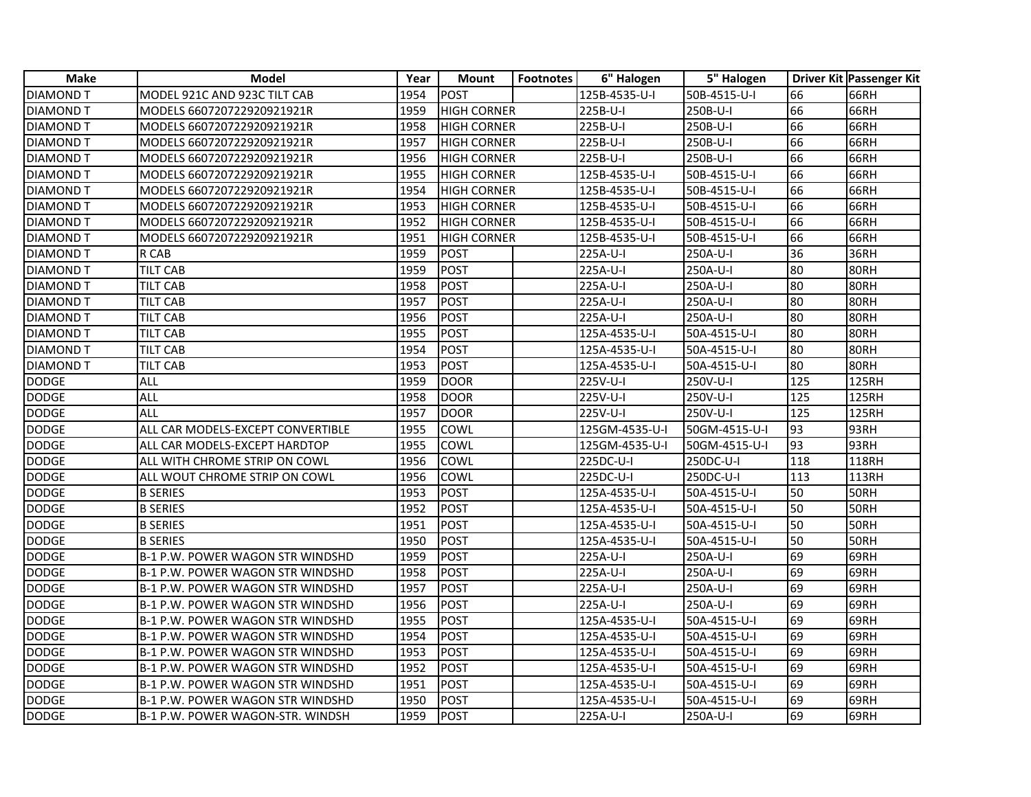| <b>Make</b>      | <b>Model</b>                            | Year | <b>Mount</b>       | <b>Footnotes</b> | 6" Halogen     | 5" Halogen    |     | Driver Kit Passenger Kit |
|------------------|-----------------------------------------|------|--------------------|------------------|----------------|---------------|-----|--------------------------|
| <b>DIAMOND T</b> | MODEL 921C AND 923C TILT CAB            | 1954 | <b>POST</b>        |                  | 125B-4535-U-I  | 50B-4515-U-I  | 66  | 66RH                     |
| <b>DIAMOND T</b> | MODELS 660720722920921921R              | 1959 | <b>HIGH CORNER</b> |                  | 225B-U-I       | 250B-U-I      | 66  | 66RH                     |
| <b>DIAMOND T</b> | MODELS 660720722920921921R              | 1958 | <b>HIGH CORNER</b> |                  | 225B-U-I       | 250B-U-I      | 66  | 66RH                     |
| <b>DIAMOND T</b> | MODELS 660720722920921921R              | 1957 | <b>HIGH CORNER</b> |                  | 225B-U-I       | 250B-U-I      | 66  | 66RH                     |
| <b>DIAMOND T</b> | MODELS 660720722920921921R              | 1956 | <b>HIGH CORNER</b> |                  | 225B-U-I       | 250B-U-I      | 66  | 66RH                     |
| <b>DIAMOND T</b> | MODELS 660720722920921921R              | 1955 | <b>HIGH CORNER</b> |                  | 125B-4535-U-I  | 50B-4515-U-I  | 66  | 66RH                     |
| <b>DIAMOND T</b> | MODELS 660720722920921921R              | 1954 | <b>HIGH CORNER</b> |                  | 125B-4535-U-I  | 50B-4515-U-I  | 66  | 66RH                     |
| <b>DIAMOND T</b> | MODELS 660720722920921921R              | 1953 | <b>HIGH CORNER</b> |                  | 125B-4535-U-I  | 50B-4515-U-I  | 66  | 66RH                     |
| <b>DIAMOND T</b> | MODELS 660720722920921921R              | 1952 | <b>HIGH CORNER</b> |                  | 125B-4535-U-I  | 50B-4515-U-I  | 66  | 66RH                     |
| <b>DIAMOND T</b> | MODELS 660720722920921921R              | 1951 | <b>HIGH CORNER</b> |                  | 125B-4535-U-I  | 50B-4515-U-I  | 66  | 66RH                     |
| DIAMOND T        | R CAB                                   | 1959 | POST               |                  | 225A-U-I       | 250A-U-I      | 36  | 36RH                     |
| <b>DIAMOND T</b> | <b>TILT CAB</b>                         | 1959 | <b>POST</b>        |                  | 225A-U-I       | 250A-U-I      | 80  | 80RH                     |
| <b>DIAMOND T</b> | <b>TILT CAB</b>                         | 1958 | <b>POST</b>        |                  | 225A-U-I       | 250A-U-I      | 80  | 80RH                     |
| <b>DIAMOND T</b> | TILT CAB                                | 1957 | <b>POST</b>        |                  | 225A-U-I       | 250A-U-I      | 80  | 80RH                     |
| <b>DIAMOND T</b> | TILT CAB                                | 1956 | <b>POST</b>        |                  | 225A-U-I       | 250A-U-I      | 80  | 80RH                     |
| DIAMOND T        | TILT CAB                                | 1955 | <b>POST</b>        |                  | 125A-4535-U-I  | 50A-4515-U-I  | 80  | 80RH                     |
| <b>DIAMOND T</b> | TILT CAB                                | 1954 | <b>POST</b>        |                  | 125A-4535-U-I  | 50A-4515-U-I  | 80  | 80RH                     |
| <b>DIAMOND T</b> | TILT CAB                                | 1953 | <b>POST</b>        |                  | 125A-4535-U-I  | 50A-4515-U-I  | 80  | 80RH                     |
| <b>DODGE</b>     | ALL                                     | 1959 | <b>DOOR</b>        |                  | 225V-U-I       | 250V-U-I      | 125 | <b>125RH</b>             |
| <b>DODGE</b>     | <b>ALL</b>                              | 1958 | <b>DOOR</b>        |                  | 225V-U-I       | 250V-U-I      | 125 | <b>125RH</b>             |
| <b>DODGE</b>     | ALL                                     | 1957 | <b>DOOR</b>        |                  | 225V-U-I       | 250V-U-I      | 125 | 125RH                    |
| <b>DODGE</b>     | ALL CAR MODELS-EXCEPT CONVERTIBLE       | 1955 | COWL               |                  | 125GM-4535-U-I | 50GM-4515-U-I | 93  | 93RH                     |
| <b>DODGE</b>     | ALL CAR MODELS-EXCEPT HARDTOP           | 1955 | COWL               |                  | 125GM-4535-U-I | 50GM-4515-U-I | 93  | 93RH                     |
| <b>DODGE</b>     | ALL WITH CHROME STRIP ON COWL           | 1956 | COWL               |                  | 225DC-U-I      | 250DC-U-I     | 118 | <b>118RH</b>             |
| <b>DODGE</b>     | ALL WOUT CHROME STRIP ON COWL           | 1956 | COWL               |                  | 225DC-U-I      | 250DC-U-I     | 113 | 113RH                    |
| <b>DODGE</b>     | <b>B SERIES</b>                         | 1953 | <b>POST</b>        |                  | 125A-4535-U-I  | 50A-4515-U-I  | 50  | 50RH                     |
| <b>DODGE</b>     | <b>B SERIES</b>                         | 1952 | <b>POST</b>        |                  | 125A-4535-U-I  | 50A-4515-U-I  | 50  | 50RH                     |
| <b>DODGE</b>     | <b>B SERIES</b>                         | 1951 | <b>POST</b>        |                  | 125A-4535-U-I  | 50A-4515-U-I  | 50  | 50RH                     |
| <b>DODGE</b>     | <b>B SERIES</b>                         | 1950 | <b>POST</b>        |                  | 125A-4535-U-I  | 50A-4515-U-I  | 50  | 50RH                     |
| <b>DODGE</b>     | B-1 P.W. POWER WAGON STR WINDSHD        | 1959 | <b>POST</b>        |                  | 225A-U-I       | 250A-U-I      | 69  | 69RH                     |
| <b>DODGE</b>     | B-1 P.W. POWER WAGON STR WINDSHD        | 1958 | <b>POST</b>        |                  | 225A-U-I       | 250A-U-I      | 69  | 69RH                     |
| <b>DODGE</b>     | <b>B-1 P.W. POWER WAGON STR WINDSHD</b> | 1957 | <b>POST</b>        |                  | 225A-U-I       | 250A-U-I      | 69  | 69RH                     |
| <b>DODGE</b>     | B-1 P.W. POWER WAGON STR WINDSHD        | 1956 | <b>POST</b>        |                  | 225A-U-I       | 250A-U-I      | 69  | 69RH                     |
| <b>DODGE</b>     | <b>B-1 P.W. POWER WAGON STR WINDSHD</b> | 1955 | <b>POST</b>        |                  | 125A-4535-U-I  | 50A-4515-U-I  | 69  | 69RH                     |
| <b>DODGE</b>     | <b>B-1 P.W. POWER WAGON STR WINDSHD</b> | 1954 | <b>POST</b>        |                  | 125A-4535-U-I  | 50A-4515-U-I  | 69  | 69RH                     |
| <b>DODGE</b>     | B-1 P.W. POWER WAGON STR WINDSHD        | 1953 | <b>POST</b>        |                  | 125A-4535-U-I  | 50A-4515-U-I  | 69  | 69RH                     |
| <b>DODGE</b>     | B-1 P.W. POWER WAGON STR WINDSHD        | 1952 | <b>POST</b>        |                  | 125A-4535-U-I  | 50A-4515-U-I  | 69  | 69RH                     |
| <b>DODGE</b>     | <b>B-1 P.W. POWER WAGON STR WINDSHD</b> | 1951 | POST               |                  | 125A-4535-U-I  | 50A-4515-U-I  | 69  | 69RH                     |
| <b>DODGE</b>     | <b>B-1 P.W. POWER WAGON STR WINDSHD</b> | 1950 | <b>POST</b>        |                  | 125A-4535-U-I  | 50A-4515-U-I  | 69  | 69RH                     |
| <b>DODGE</b>     | B-1 P.W. POWER WAGON-STR. WINDSH        | 1959 | <b>POST</b>        |                  | 225A-U-I       | 250A-U-I      | 69  | 69RH                     |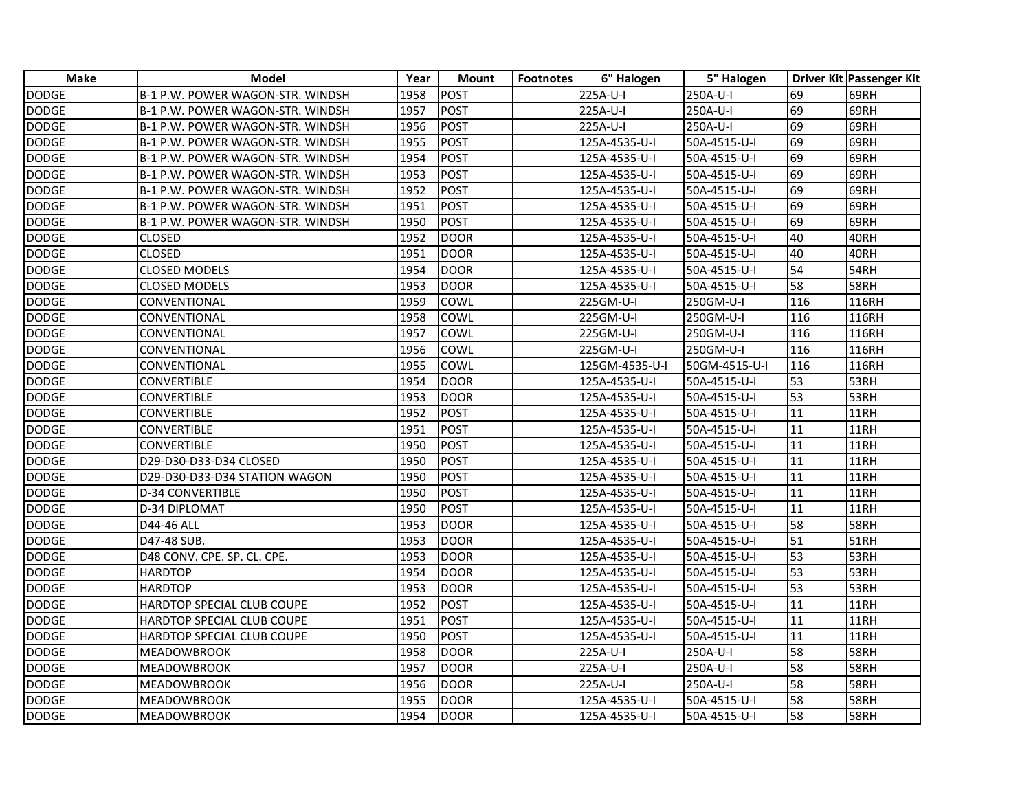| Make         | Model                            | Year | <b>Mount</b> | <b>Footnotes</b> | 6" Halogen     | 5" Halogen    |     | Driver Kit Passenger Kit |
|--------------|----------------------------------|------|--------------|------------------|----------------|---------------|-----|--------------------------|
| <b>DODGE</b> | B-1 P.W. POWER WAGON-STR. WINDSH | 1958 | POST         |                  | 225A-U-I       | 250A-U-I      | 69  | 69RH                     |
| <b>DODGE</b> | B-1 P.W. POWER WAGON-STR. WINDSH | 1957 | POST         |                  | 225A-U-I       | 250A-U-I      | 69  | 69RH                     |
| <b>DODGE</b> | B-1 P.W. POWER WAGON-STR. WINDSH | 1956 | POST         |                  | 225A-U-I       | 250A-U-I      | 69  | 69RH                     |
| <b>DODGE</b> | B-1 P.W. POWER WAGON-STR. WINDSH | 1955 | POST         |                  | 125A-4535-U-I  | 50A-4515-U-I  | 69  | 69RH                     |
| <b>DODGE</b> | B-1 P.W. POWER WAGON-STR. WINDSH | 1954 | POST         |                  | 125A-4535-U-I  | 50A-4515-U-I  | 69  | 69RH                     |
| <b>DODGE</b> | B-1 P.W. POWER WAGON-STR. WINDSH | 1953 | POST         |                  | 125A-4535-U-I  | 50A-4515-U-I  | 69  | 69RH                     |
| <b>DODGE</b> | B-1 P.W. POWER WAGON-STR. WINDSH | 1952 | POST         |                  | 125A-4535-U-I  | 50A-4515-U-I  | 69  | 69RH                     |
| <b>DODGE</b> | B-1 P.W. POWER WAGON-STR. WINDSH | 1951 | POST         |                  | 125A-4535-U-I  | 50A-4515-U-I  | 69  | 69RH                     |
| <b>DODGE</b> | B-1 P.W. POWER WAGON-STR. WINDSH | 1950 | POST         |                  | 125A-4535-U-I  | 50A-4515-U-I  | 69  | 69RH                     |
| <b>DODGE</b> | <b>CLOSED</b>                    | 1952 | <b>DOOR</b>  |                  | 125A-4535-U-I  | 50A-4515-U-I  | 40  | 40RH                     |
| <b>DODGE</b> | <b>CLOSED</b>                    | 1951 | <b>DOOR</b>  |                  | 125A-4535-U-I  | 50A-4515-U-I  | 40  | 40RH                     |
| <b>DODGE</b> | <b>CLOSED MODELS</b>             | 1954 | DOOR         |                  | 125A-4535-U-I  | 50A-4515-U-I  | 54  | 54RH                     |
| <b>DODGE</b> | <b>CLOSED MODELS</b>             | 1953 | <b>DOOR</b>  |                  | 125A-4535-U-I  | 50A-4515-U-I  | 58  | <b>58RH</b>              |
| <b>DODGE</b> | CONVENTIONAL                     | 1959 | COWL         |                  | 225GM-U-I      | 250GM-U-I     | 116 | 116RH                    |
| <b>DODGE</b> | CONVENTIONAL                     | 1958 | <b>COWL</b>  |                  | 225GM-U-I      | 250GM-U-I     | 116 | 116RH                    |
| <b>DODGE</b> | CONVENTIONAL                     | 1957 | <b>COWL</b>  |                  | 225GM-U-I      | 250GM-U-I     | 116 | 116RH                    |
| <b>DODGE</b> | CONVENTIONAL                     | 1956 | <b>COWL</b>  |                  | 225GM-U-I      | 250GM-U-I     | 116 | 116RH                    |
| <b>DODGE</b> | CONVENTIONAL                     | 1955 | <b>COWL</b>  |                  | 125GM-4535-U-I | 50GM-4515-U-I | 116 | 116RH                    |
| <b>DODGE</b> | <b>CONVERTIBLE</b>               | 1954 | DOOR         |                  | 125A-4535-U-I  | 50A-4515-U-I  | 53  | 53RH                     |
| <b>DODGE</b> | <b>CONVERTIBLE</b>               | 1953 | <b>DOOR</b>  |                  | 125A-4535-U-I  | 50A-4515-U-I  | 53  | 53RH                     |
| <b>DODGE</b> | <b>CONVERTIBLE</b>               | 1952 | POST         |                  | 125A-4535-U-I  | 50A-4515-U-I  | 11  | 11RH                     |
| <b>DODGE</b> | CONVERTIBLE                      | 1951 | POST         |                  | 125A-4535-U-I  | 50A-4515-U-I  | 11  | 11RH                     |
| <b>DODGE</b> | <b>CONVERTIBLE</b>               | 1950 | <b>POST</b>  |                  | 125A-4535-U-I  | 50A-4515-U-I  | 11  | 11RH                     |
| <b>DODGE</b> | D29-D30-D33-D34 CLOSED           | 1950 | POST         |                  | 125A-4535-U-I  | 50A-4515-U-I  | 11  | 11RH                     |
| <b>DODGE</b> | D29-D30-D33-D34 STATION WAGON    | 1950 | <b>IPOST</b> |                  | 125A-4535-U-I  | 50A-4515-U-I  | 11  | 11RH                     |
| <b>DODGE</b> | <b>D-34 CONVERTIBLE</b>          | 1950 | POST         |                  | 125A-4535-U-I  | 50A-4515-U-I  | 11  | 11RH                     |
| <b>DODGE</b> | D-34 DIPLOMAT                    | 1950 | POST         |                  | 125A-4535-U-I  | 50A-4515-U-I  | 11  | 11RH                     |
| <b>DODGE</b> | D44-46 ALL                       | 1953 | <b>DOOR</b>  |                  | 125A-4535-U-I  | 50A-4515-U-I  | 58  | <b>58RH</b>              |
| <b>DODGE</b> | D47-48 SUB.                      | 1953 | <b>DOOR</b>  |                  | 125A-4535-U-I  | 50A-4515-U-I  | 51  | <b>51RH</b>              |
| <b>DODGE</b> | D48 CONV. CPE. SP. CL. CPE.      | 1953 | <b>DOOR</b>  |                  | 125A-4535-U-I  | 50A-4515-U-I  | 53  | 53RH                     |
| <b>DODGE</b> | <b>HARDTOP</b>                   | 1954 | DOOR         |                  | 125A-4535-U-I  | 50A-4515-U-I  | 53  | 53RH                     |
| <b>DODGE</b> | <b>HARDTOP</b>                   | 1953 | <b>DOOR</b>  |                  | 125A-4535-U-I  | 50A-4515-U-I  | 53  | 53RH                     |
| <b>DODGE</b> | HARDTOP SPECIAL CLUB COUPE       | 1952 | <b>POST</b>  |                  | 125A-4535-U-I  | 50A-4515-U-I  | 11  | 11RH                     |
| <b>DODGE</b> | HARDTOP SPECIAL CLUB COUPE       | 1951 | <b>POST</b>  |                  | 125A-4535-U-I  | 50A-4515-U-I  | 11  | 11RH                     |
| <b>DODGE</b> | HARDTOP SPECIAL CLUB COUPE       | 1950 | POST         |                  | 125A-4535-U-I  | 50A-4515-U-I  | 11  | 11RH                     |
| <b>DODGE</b> | <b>MEADOWBROOK</b>               | 1958 | DOOR         |                  | 225A-U-I       | 250A-U-I      | 58  | <b>58RH</b>              |
| <b>DODGE</b> | <b>MEADOWBROOK</b>               | 1957 | <b>DOOR</b>  |                  | 225A-U-I       | 250A-U-I      | 58  | 58RH                     |
| <b>DODGE</b> | <b>MEADOWBROOK</b>               | 1956 | <b>DOOR</b>  |                  | 225A-U-I       | 250A-U-I      | 58  | <b>58RH</b>              |
| <b>DODGE</b> | <b>MEADOWBROOK</b>               | 1955 | <b>DOOR</b>  |                  | 125A-4535-U-I  | 50A-4515-U-I  | 58  | <b>58RH</b>              |
| <b>DODGE</b> | <b>MEADOWBROOK</b>               | 1954 | <b>IDOOR</b> |                  | 125A-4535-U-I  | 50A-4515-U-I  | 58  | <b>58RH</b>              |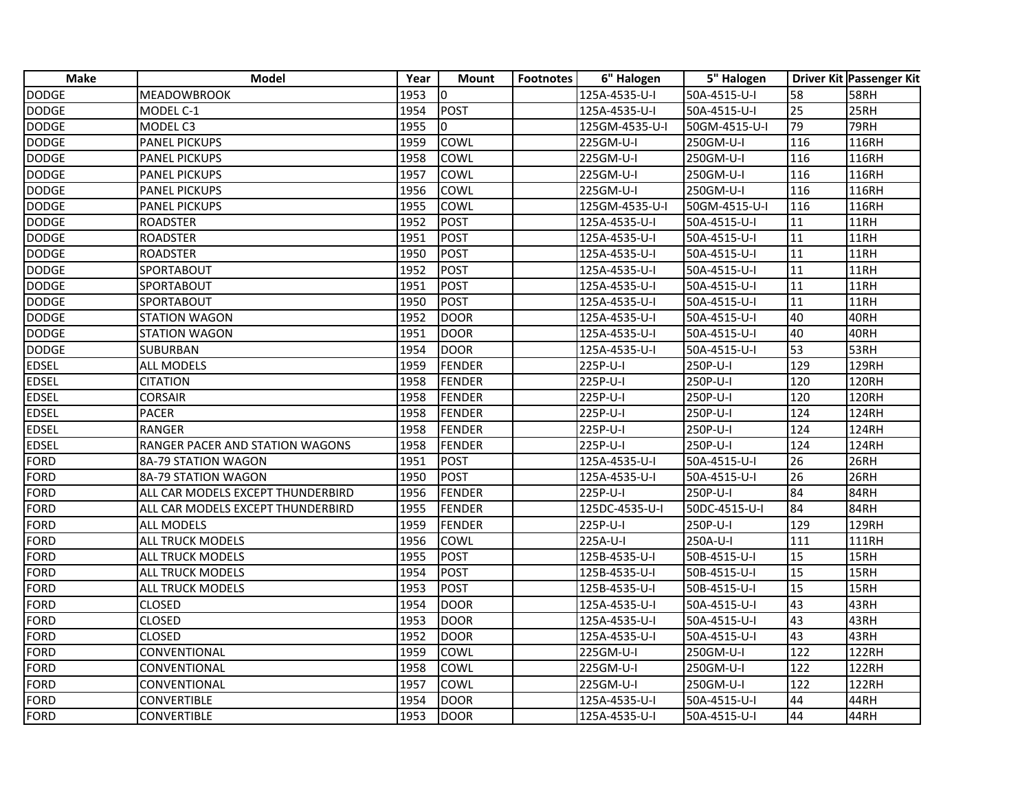| <b>Make</b>  | <b>Model</b>                      | Year | <b>Mount</b>  | <b>Footnotes</b> | 6" Halogen     | 5" Halogen    |                 | Driver Kit Passenger Kit |
|--------------|-----------------------------------|------|---------------|------------------|----------------|---------------|-----------------|--------------------------|
| DODGE        | <b>MEADOWBROOK</b>                | 1953 | lo.           |                  | 125A-4535-U-I  | 50A-4515-U-I  | 58              | <b>58RH</b>              |
| <b>DODGE</b> | MODEL C-1                         | 1954 | <b>POST</b>   |                  | 125A-4535-U-I  | 50A-4515-U-I  | 25              | 25RH                     |
| <b>DODGE</b> | MODEL C3                          | 1955 | 0             |                  | 125GM-4535-U-I | 50GM-4515-U-I | 79              | 79RH                     |
| <b>DODGE</b> | <b>PANEL PICKUPS</b>              | 1959 | COWL          |                  | 225GM-U-I      | 250GM-U-I     | 116             | 116RH                    |
| <b>DODGE</b> | <b>PANEL PICKUPS</b>              | 1958 | COWL          |                  | 225GM-U-I      | 250GM-U-I     | 116             | 116RH                    |
| <b>DODGE</b> | <b>PANEL PICKUPS</b>              | 1957 | COWL          |                  | 225GM-U-I      | 250GM-U-I     | 116             | 116RH                    |
| <b>DODGE</b> | <b>PANEL PICKUPS</b>              | 1956 | COWL          |                  | 225GM-U-I      | 250GM-U-I     | 116             | 116RH                    |
| <b>DODGE</b> | <b>PANEL PICKUPS</b>              | 1955 | COWL          |                  | 125GM-4535-U-I | 50GM-4515-U-I | 116             | 116RH                    |
| <b>DODGE</b> | <b>ROADSTER</b>                   | 1952 | <b>POST</b>   |                  | 125A-4535-U-I  | 50A-4515-U-I  | $\overline{11}$ | 11RH                     |
| <b>DODGE</b> | <b>ROADSTER</b>                   | 1951 | <b>POST</b>   |                  | 125A-4535-U-I  | 50A-4515-U-I  | 11              | 11RH                     |
| <b>DODGE</b> | <b>ROADSTER</b>                   | 1950 | <b>POST</b>   |                  | 125A-4535-U-I  | 50A-4515-U-I  | $\overline{11}$ | 11RH                     |
| <b>DODGE</b> | SPORTABOUT                        | 1952 | <b>POST</b>   |                  | 125A-4535-U-I  | 50A-4515-U-I  | $\overline{11}$ | 11RH                     |
| <b>DODGE</b> | SPORTABOUT                        | 1951 | POST          |                  | 125A-4535-U-I  | 50A-4515-U-I  | 11              | 11RH                     |
| <b>DODGE</b> | SPORTABOUT                        | 1950 | <b>POST</b>   |                  | 125A-4535-U-I  | 50A-4515-U-I  | $\overline{11}$ | <b>11RH</b>              |
| <b>DODGE</b> | <b>STATION WAGON</b>              | 1952 | <b>DOOR</b>   |                  | 125A-4535-U-I  | 50A-4515-U-I  | 40              | 40RH                     |
| <b>DODGE</b> | STATION WAGON                     | 1951 | <b>DOOR</b>   |                  | 125A-4535-U-I  | 50A-4515-U-I  | 40              | 40RH                     |
| <b>DODGE</b> | <b>SUBURBAN</b>                   | 1954 | <b>DOOR</b>   |                  | 125A-4535-U-I  | 50A-4515-U-I  | 53              | 53RH                     |
| <b>EDSEL</b> | ALL MODELS                        | 1959 | <b>FENDER</b> |                  | 225P-U-I       | 250P-U-I      | 129             | 129RH                    |
| <b>EDSEL</b> | <b>CITATION</b>                   | 1958 | <b>FENDER</b> |                  | 225P-U-I       | 250P-U-I      | 120             | <b>120RH</b>             |
| <b>EDSEL</b> | <b>CORSAIR</b>                    | 1958 | <b>FENDER</b> |                  | 225P-U-I       | 250P-U-I      | 120             | 120RH                    |
| <b>EDSEL</b> | <b>PACER</b>                      | 1958 | <b>FENDER</b> |                  | 225P-U-I       | 250P-U-I      | 124             | 124RH                    |
| <b>EDSEL</b> | <b>RANGER</b>                     | 1958 | <b>FENDER</b> |                  | 225P-U-I       | 250P-U-I      | 124             | 124RH                    |
| <b>EDSEL</b> | RANGER PACER AND STATION WAGONS   | 1958 | <b>FENDER</b> |                  | 225P-U-I       | 250P-U-I      | 124             | 124RH                    |
| <b>FORD</b>  | 8A-79 STATION WAGON               | 1951 | <b>POST</b>   |                  | 125A-4535-U-I  | 50A-4515-U-I  | 26              | 26RH                     |
| <b>FORD</b>  | 8A-79 STATION WAGON               | 1950 | <b>POST</b>   |                  | 125A-4535-U-I  | 50A-4515-U-I  | 26              | 26RH                     |
| FORD         | ALL CAR MODELS EXCEPT THUNDERBIRD | 1956 | <b>FENDER</b> |                  | 225P-U-I       | 250P-U-I      | 84              | 84RH                     |
| FORD         | ALL CAR MODELS EXCEPT THUNDERBIRD | 1955 | <b>FENDER</b> |                  | 125DC-4535-U-I | 50DC-4515-U-I | 84              | 84RH                     |
| <b>FORD</b>  | ALL MODELS                        | 1959 | <b>FENDER</b> |                  | 225P-U-I       | 250P-U-I      | 129             | 129RH                    |
| <b>FORD</b>  | <b>ALL TRUCK MODELS</b>           | 1956 | COWL          |                  | 225A-U-I       | 250A-U-I      | 111             | <b>111RH</b>             |
| <b>FORD</b>  | <b>ALL TRUCK MODELS</b>           | 1955 | <b>POST</b>   |                  | 125B-4535-U-I  | 50B-4515-U-I  | 15              | 15RH                     |
| <b>FORD</b>  | ALL TRUCK MODELS                  | 1954 | <b>POST</b>   |                  | 125B-4535-U-I  | 50B-4515-U-I  | 15              | 15RH                     |
| FORD         | ALL TRUCK MODELS                  | 1953 | <b>POST</b>   |                  | 125B-4535-U-I  | 50B-4515-U-I  | 15              | 15RH                     |
| FORD         | CLOSED                            | 1954 | <b>DOOR</b>   |                  | 125A-4535-U-I  | 50A-4515-U-I  | 643             | 43RH                     |
| <b>FORD</b>  | CLOSED                            | 1953 | <b>DOOR</b>   |                  | 125A-4535-U-I  | 50A-4515-U-I  | 43              | 43RH                     |
| <b>FORD</b>  | <b>CLOSED</b>                     | 1952 | <b>DOOR</b>   |                  | 125A-4535-U-I  | 50A-4515-U-I  | $\overline{43}$ | 43RH                     |
| <b>FORD</b>  | CONVENTIONAL                      | 1959 | COWL          |                  | 225GM-U-I      | 250GM-U-I     | 122             | 122RH                    |
| <b>FORD</b>  | CONVENTIONAL                      | 1958 | COWL          |                  | 225GM-U-I      | 250GM-U-I     | 122             | 122RH                    |
| FORD         | CONVENTIONAL                      | 1957 | COWL          |                  | 225GM-U-I      | 250GM-U-I     | 122             | 122RH                    |
| FORD         | CONVERTIBLE                       | 1954 | <b>DOOR</b>   |                  | 125A-4535-U-I  | 50A-4515-U-I  | 44              | 44RH                     |
| <b>FORD</b>  | <b>CONVERTIBLE</b>                | 1953 | <b>DOOR</b>   |                  | 125A-4535-U-I  | 50A-4515-U-I  | 44              | 44RH                     |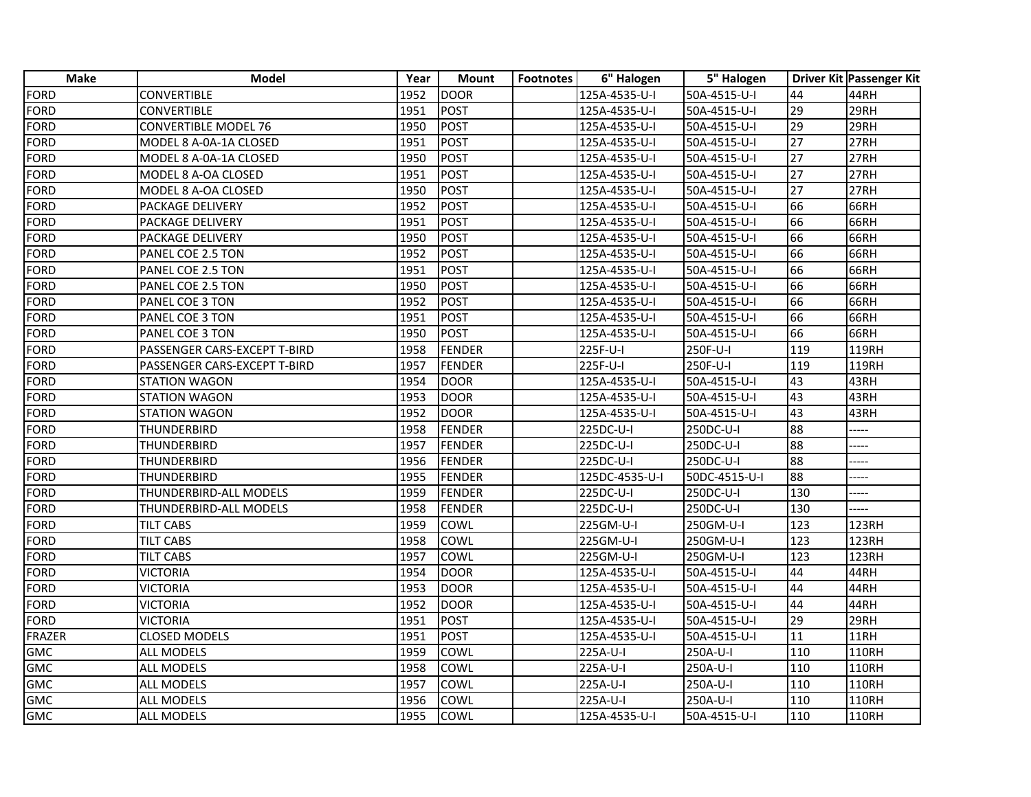| <b>Make</b>   | <b>Model</b>                 | Year | Mount         | <b>Footnotes</b> | 6" Halogen     | 5" Halogen    |                  | Driver Kit Passenger Kit      |
|---------------|------------------------------|------|---------------|------------------|----------------|---------------|------------------|-------------------------------|
| FORD          | <b>CONVERTIBLE</b>           | 1952 | <b>DOOR</b>   |                  | 125A-4535-U-I  | 50A-4515-U-I  | 44               | 44RH                          |
| FORD          | <b>CONVERTIBLE</b>           | 1951 | <b>POST</b>   |                  | 125A-4535-U-I  | 50A-4515-U-I  | 29               | 29RH                          |
| FORD          | CONVERTIBLE MODEL 76         | 1950 | <b>POST</b>   |                  | 125A-4535-U-I  | 50A-4515-U-I  | 29               | 29RH                          |
| <b>FORD</b>   | MODEL 8 A-0A-1A CLOSED       | 1951 | <b>POST</b>   |                  | 125A-4535-U-I  | 50A-4515-U-I  | 27               | 27RH                          |
| FORD          | MODEL 8 A-0A-1A CLOSED       | 1950 | <b>POST</b>   |                  | 125A-4535-U-I  | 50A-4515-U-I  | 27               | $\overline{2}$ <sub>7RH</sub> |
| <b>FORD</b>   | MODEL 8 A-OA CLOSED          | 1951 | <b>POST</b>   |                  | 125A-4535-U-I  | 50A-4515-U-I  | 27               | 27RH                          |
| FORD          | MODEL 8 A-OA CLOSED          | 1950 | <b>POST</b>   |                  | 125A-4535-U-I  | 50A-4515-U-I  | 27               | 27RH                          |
| FORD          | PACKAGE DELIVERY             | 1952 | <b>POST</b>   |                  | 125A-4535-U-I  | 50A-4515-U-I  | 66               | 66RH                          |
| <b>FORD</b>   | PACKAGE DELIVERY             | 1951 | <b>POST</b>   |                  | 125A-4535-U-I  | 50A-4515-U-I  | 66               | 66RH                          |
| <b>FORD</b>   | PACKAGE DELIVERY             | 1950 | <b>POST</b>   |                  | 125A-4535-U-I  | 50A-4515-U-I  | 66               | 66RH                          |
| <b>FORD</b>   | PANEL COE 2.5 TON            | 1952 | <b>POST</b>   |                  | 125A-4535-U-I  | 50A-4515-U-I  | 66               | 66RH                          |
| FORD          | PANEL COE 2.5 TON            | 1951 | <b>POST</b>   |                  | 125A-4535-U-I  | 50A-4515-U-I  | 66               | 66RH                          |
| FORD          | PANEL COE 2.5 TON            | 1950 | <b>POST</b>   |                  | 125A-4535-U-I  | 50A-4515-U-I  | 66               | 66RH                          |
| FORD          | PANEL COE 3 TON              | 1952 | <b>POST</b>   |                  | 125A-4535-U-I  | 50A-4515-U-I  | 66               | 66RH                          |
| <b>FORD</b>   | PANEL COE 3 TON              | 1951 | <b>POST</b>   |                  | 125A-4535-U-I  | 50A-4515-U-I  | 66               | 66RH                          |
| <b>FORD</b>   | PANEL COE 3 TON              | 1950 | <b>POST</b>   |                  | 125A-4535-U-I  | 50A-4515-U-I  | 66               | 66RH                          |
| FORD          | PASSENGER CARS-EXCEPT T-BIRD | 1958 | <b>FENDER</b> |                  | 225F-U-I       | 250F-U-I      | 119              | 119RH                         |
| FORD          | PASSENGER CARS-EXCEPT T-BIRD | 1957 | <b>FENDER</b> |                  | 225F-U-I       | 250F-U-I      | 119              | 119RH                         |
| FORD          | <b>STATION WAGON</b>         | 1954 | <b>DOOR</b>   |                  | 125A-4535-U-I  | 50A-4515-U-I  | $\overline{43}$  | 43RH                          |
| <b>FORD</b>   | <b>STATION WAGON</b>         | 1953 | <b>DOOR</b>   |                  | 125A-4535-U-I  | 50A-4515-U-I  | $\overline{43}$  | 43RH                          |
| <b>FORD</b>   | <b>STATION WAGON</b>         | 1952 | <b>DOOR</b>   |                  | 125A-4535-U-I  | 50A-4515-U-I  | $\overline{43}$  | 43RH                          |
| <b>FORD</b>   | THUNDERBIRD                  | 1958 | <b>FENDER</b> |                  | 225DC-U-I      | 250DC-U-I     | 88               | ----                          |
| FORD          | <b>THUNDERBIRD</b>           | 1957 | <b>FENDER</b> |                  | 225DC-U-I      | 250DC-U-I     | 88               | ----                          |
| FORD          | THUNDERBIRD                  | 1956 | <b>FENDER</b> |                  | 225DC-U-I      | 250DC-U-I     | 88               |                               |
| FORD          | <b>THUNDERBIRD</b>           | 1955 | <b>FENDER</b> |                  | 125DC-4535-U-I | 50DC-4515-U-I | 88               | ----                          |
| FORD          | THUNDERBIRD-ALL MODELS       | 1959 | <b>FENDER</b> |                  | 225DC-U-I      | 250DC-U-I     | 130              | ----                          |
| <b>FORD</b>   | THUNDERBIRD-ALL MODELS       | 1958 | FENDER        |                  | 225DC-U-I      | 250DC-U-I     | 130              |                               |
| <b>FORD</b>   | TILT CABS                    | 1959 | COWL          |                  | 225GM-U-I      | 250GM-U-I     | $\overline{123}$ | 123RH                         |
| <b>FORD</b>   | <b>TILT CABS</b>             | 1958 | COWL          |                  | 225GM-U-I      | 250GM-U-I     | 123              | 123RH                         |
| FORD          | <b>TILT CABS</b>             | 1957 | COWL          |                  | 225GM-U-I      | 250GM-U-I     | 123              | 123RH                         |
| FORD          | <b>VICTORIA</b>              | 1954 | <b>DOOR</b>   |                  | 125A-4535-U-I  | 50A-4515-U-I  | 44               | 44RH                          |
| <b>FORD</b>   | VICTORIA                     | 1953 | <b>DOOR</b>   |                  | 125A-4535-U-I  | 50A-4515-U-I  | 44               | 44RH                          |
| <b>FORD</b>   | VICTORIA                     | 1952 | <b>DOOR</b>   |                  | 125A-4535-U-I  | 50A-4515-U-I  | 44               | 44RH                          |
| <b>FORD</b>   | VICTORIA                     | 1951 | <b>POST</b>   |                  | 125A-4535-U-I  | 50A-4515-U-I  | 29               | 29RH                          |
| <b>FRAZER</b> | <b>CLOSED MODELS</b>         | 1951 | <b>POST</b>   |                  | 125A-4535-U-I  | 50A-4515-U-I  | 11               | 11RH                          |
| <b>GMC</b>    | ALL MODELS                   | 1959 | COWL          |                  | 225A-U-I       | 250A-U-I      | 110              | 110RH                         |
| <b>GMC</b>    | ALL MODELS                   | 1958 | COWL          |                  | 225A-U-I       | 250A-U-I      | 110              | 110RH                         |
| <b>GMC</b>    | ALL MODELS                   | 1957 | COWL          |                  | 225A-U-I       | 250A-U-I      | 110              | 110RH                         |
| <b>GMC</b>    | ALL MODELS                   | 1956 | COWL          |                  | 225A-U-I       | 250A-U-I      | 110              | 110RH                         |
| <b>GMC</b>    | <b>ALL MODELS</b>            | 1955 | <b>COWL</b>   |                  | 125A-4535-U-I  | 50A-4515-U-I  | 110              | 110RH                         |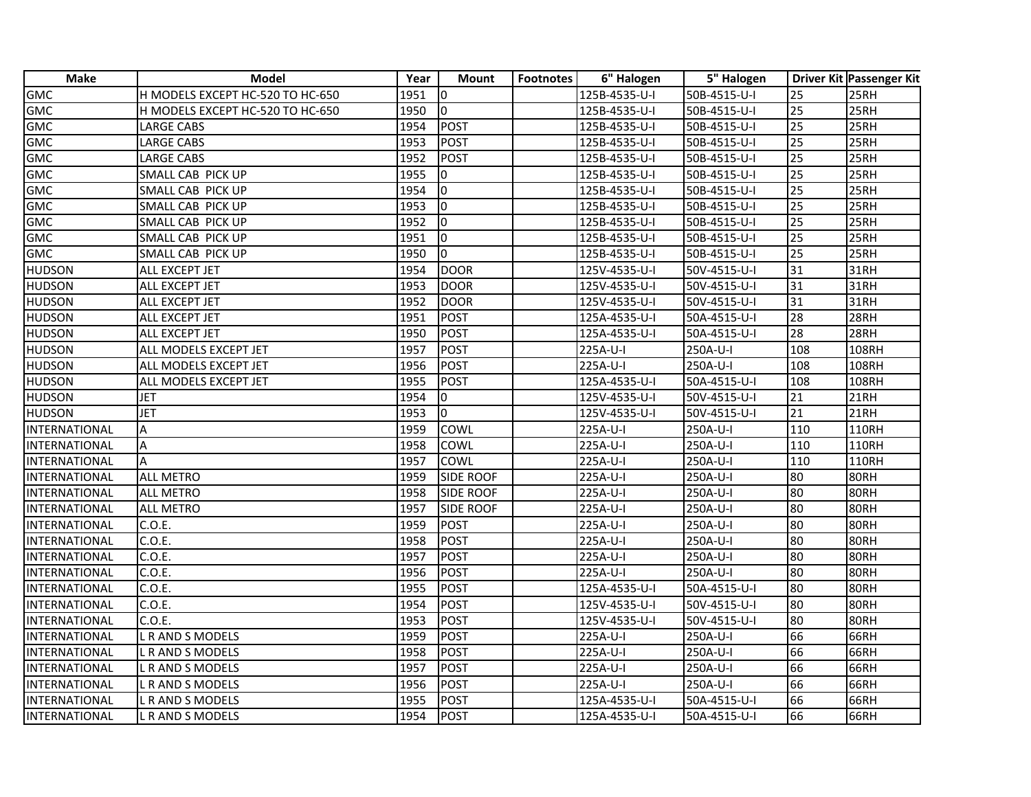| <b>Make</b>          | <b>Model</b>                     | Year | <b>Mount</b>     | <b>Footnotes</b> | 6" Halogen    | 5" Halogen   |                 | Driver Kit Passenger Kit |
|----------------------|----------------------------------|------|------------------|------------------|---------------|--------------|-----------------|--------------------------|
| GMC                  | H MODELS EXCEPT HC-520 TO HC-650 | 1951 | Iо               |                  | 125B-4535-U-I | 50B-4515-U-I | 25              | 25RH                     |
| GMC                  | H MODELS EXCEPT HC-520 TO HC-650 | 1950 | lo.              |                  | 125B-4535-U-I | 50B-4515-U-I | 25              | 25RH                     |
| <b>GMC</b>           | <b>LARGE CABS</b>                | 1954 | POST             |                  | 125B-4535-U-I | 50B-4515-U-I | $\overline{25}$ | 25RH                     |
| <b>GMC</b>           | LARGE CABS                       | 1953 | POST             |                  | 125B-4535-U-I | 50B-4515-U-I | 25              | 25RH                     |
| <b>GMC</b>           | LARGE CABS                       | 1952 | <b>POST</b>      |                  | 125B-4535-U-I | 50B-4515-U-I | $\overline{25}$ | 25RH                     |
| <b>GMC</b>           | SMALL CAB PICK UP                | 1955 | 0                |                  | 125B-4535-U-I | 50B-4515-U-I | $\overline{25}$ | 25RH                     |
| <b>GMC</b>           | SMALL CAB PICK UP                | 1954 | lo.              |                  | 125B-4535-U-I | 50B-4515-U-I | 25              | 25RH                     |
| <b>GMC</b>           | SMALL CAB PICK UP                | 1953 | $\overline{0}$   |                  | 125B-4535-U-I | 50B-4515-U-I | $\overline{25}$ | 25RH                     |
| <b>GMC</b>           | SMALL CAB PICK UP                | 1952 | l0               |                  | 125B-4535-U-I | 50B-4515-U-I | $\overline{25}$ | 25RH                     |
| <b>GMC</b>           | SMALL CAB PICK UP                | 1951 | Io               |                  | 125B-4535-U-I | 50B-4515-U-I | 25              | 25RH                     |
| <b>GMC</b>           | SMALL CAB PICK UP                | 1950 | lo.              |                  | 125B-4535-U-I | 50B-4515-U-I | $\overline{25}$ | 25RH                     |
| <b>HUDSON</b>        | ALL EXCEPT JET                   | 1954 | DOOR             |                  | 125V-4535-U-I | 50V-4515-U-I | 31              | 31RH                     |
| <b>HUDSON</b>        | ALL EXCEPT JET                   | 1953 | DOOR             |                  | 125V-4535-U-I | 50V-4515-U-I | 31              | 31RH                     |
| <b>HUDSON</b>        | ALL EXCEPT JET                   | 1952 | <b>DOOR</b>      |                  | 125V-4535-U-I | 50V-4515-U-I | 31              | 31RH                     |
| <b>HUDSON</b>        | ALL EXCEPT JET                   | 1951 | <b>POST</b>      |                  | 125A-4535-U-I | 50A-4515-U-I | 28              | 28RH                     |
| <b>HUDSON</b>        | ALL EXCEPT JET                   | 1950 | POST             |                  | 125A-4535-U-I | 50A-4515-U-I | $\overline{28}$ | 28RH                     |
| <b>HUDSON</b>        | ALL MODELS EXCEPT JET            | 1957 | POST             |                  | 225A-U-I      | 250A-U-I     | 108             | 108RH                    |
| <b>HUDSON</b>        | ALL MODELS EXCEPT JET            | 1956 | POST             |                  | 225A-U-I      | 250A-U-I     | 108             | 108RH                    |
| <b>HUDSON</b>        | ALL MODELS EXCEPT JET            | 1955 | POST             |                  | 125A-4535-U-I | 50A-4515-U-I | 108             | 108RH                    |
| <b>HUDSON</b>        | <b>JET</b>                       | 1954 | $\Omega$         |                  | 125V-4535-U-I | 50V-4515-U-I | $\overline{21}$ | 21RH                     |
| <b>HUDSON</b>        | <b>JET</b>                       | 1953 | 0                |                  | 125V-4535-U-I | 50V-4515-U-I | 21              | 21RH                     |
| INTERNATIONAL        | Α                                | 1959 | <b>COWL</b>      |                  | 225A-U-I      | 250A-U-I     | 110             | 110RH                    |
| <b>INTERNATIONAL</b> | A                                | 1958 | COWL             |                  | 225A-U-I      | 250A-U-I     | 110             | 110RH                    |
| <b>INTERNATIONAL</b> | $\overline{A}$                   | 1957 | <b>COWL</b>      |                  | 225A-U-I      | 250A-U-I     | 110             | 110RH                    |
| INTERNATIONAL        | <b>ALL METRO</b>                 | 1959 | <b>SIDE ROOF</b> |                  | 225A-U-I      | 250A-U-I     | $\overline{80}$ | 80RH                     |
| <b>INTERNATIONAL</b> | <b>ALL METRO</b>                 | 1958 | <b>SIDE ROOF</b> |                  | 225A-U-I      | 250A-U-I     | $\overline{80}$ | 80RH                     |
| INTERNATIONAL        | ALL METRO                        | 1957 | <b>SIDE ROOF</b> |                  | 225A-U-I      | 250A-U-I     | 80              | 80RH                     |
| INTERNATIONAL        | C.O.E.                           | 1959 | POST             |                  | 225A-U-I      | 250A-U-I     | $\overline{80}$ | 80RH                     |
| INTERNATIONAL        | C.O.E.                           | 1958 | POST             |                  | 225A-U-I      | 250A-U-I     | $\overline{80}$ | 80RH                     |
| INTERNATIONAL        | C.O.E.                           | 1957 | POST             |                  | 225A-U-I      | 250A-U-I     | 80              | 80RH                     |
| INTERNATIONAL        | C.O.E.                           | 1956 | POST             |                  | 225A-U-I      | 250A-U-I     | $\overline{80}$ | 80RH                     |
| INTERNATIONAL        | C.O.E.                           | 1955 | <b>POST</b>      |                  | 125A-4535-U-I | 50A-4515-U-I | 80              | 80RH                     |
| <b>INTERNATIONAL</b> | C.O.E.                           | 1954 | <b>POST</b>      |                  | 125V-4535-U-I | 50V-4515-U-I | 80              | 80RH                     |
| INTERNATIONAL        | C.O.E.                           | 1953 | POST             |                  | 125V-4535-U-I | 50V-4515-U-I | 80              | 80RH                     |
| INTERNATIONAL        | <b>L R AND S MODELS</b>          | 1959 | POST             |                  | 225A-U-I      | 250A-U-I     | 66              | 66RH                     |
| INTERNATIONAL        | L R AND S MODELS                 | 1958 | POST             |                  | 225A-U-I      | 250A-U-I     | 66              | 66RH                     |
| <b>INTERNATIONAL</b> | <b>L R AND S MODELS</b>          | 1957 | <b>POST</b>      |                  | 225A-U-I      | 250A-U-I     | 66              | 66RH                     |
| INTERNATIONAL        | L R AND S MODELS                 | 1956 | <b>POST</b>      |                  | 225A-U-I      | 250A-U-I     | 66              | 66RH                     |
| <b>INTERNATIONAL</b> | L R AND S MODELS                 | 1955 | POST             |                  | 125A-4535-U-I | 50A-4515-U-I | 66              | 66RH                     |
| <b>INTERNATIONAL</b> | L R AND S MODELS                 | 1954 | POST             |                  | 125A-4535-U-I | 50A-4515-U-I | 66              | 66RH                     |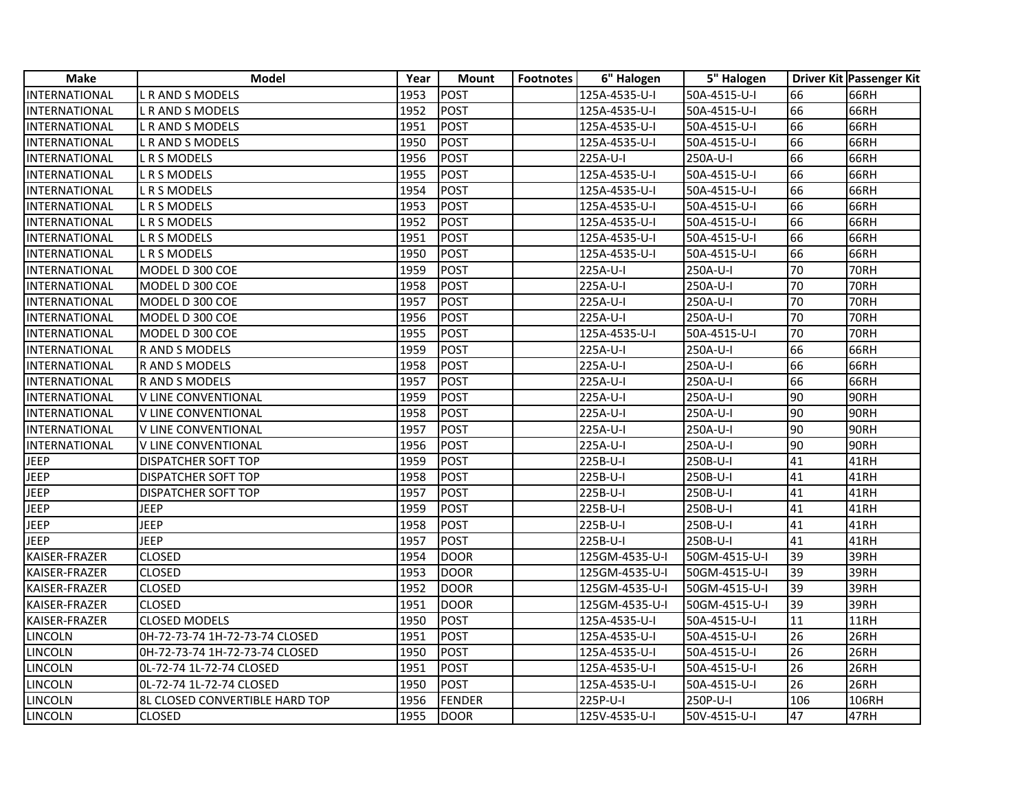| <b>Make</b>    | <b>Model</b>                   | Year | <b>Mount</b> | <b>Footnotes</b> | 6" Halogen     | 5" Halogen    |                 | Driver Kit Passenger Kit |
|----------------|--------------------------------|------|--------------|------------------|----------------|---------------|-----------------|--------------------------|
| INTERNATIONAL  | L R AND S MODELS               | 1953 | <b>POST</b>  |                  | 125A-4535-U-I  | 50A-4515-U-I  | 66              | 66RH                     |
| INTERNATIONAL  | L R AND S MODELS               | 1952 | <b>IPOST</b> |                  | 125A-4535-U-I  | 50A-4515-U-I  | 66              | 66RH                     |
| INTERNATIONAL  | <b>L R AND S MODELS</b>        | 1951 | POST         |                  | 125A-4535-U-I  | 50A-4515-U-I  | 66              | 66RH                     |
| INTERNATIONAL  | L R AND S MODELS               | 1950 | <b>POST</b>  |                  | 125A-4535-U-I  | 50A-4515-U-I  | 66              | 66RH                     |
| INTERNATIONAL  | L R S MODELS                   | 1956 | POST         |                  | 225A-U-I       | 250A-U-I      | 66              | 66RH                     |
| INTERNATIONAL  | <b>L R S MODELS</b>            | 1955 | POST         |                  | 125A-4535-U-I  | 50A-4515-U-I  | 66              | 66RH                     |
| INTERNATIONAL  | L R S MODELS                   | 1954 | POST         |                  | 125A-4535-U-I  | 50A-4515-U-I  | 66              | 66RH                     |
| INTERNATIONAL  | L R S MODELS                   | 1953 | POST         |                  | 125A-4535-U-I  | 50A-4515-U-I  | 66              | 66RH                     |
| INTERNATIONAL  | L R S MODELS                   | 1952 | POST         |                  | 125A-4535-U-I  | 50A-4515-U-I  | 66              | 66RH                     |
| INTERNATIONAL  | L R S MODELS                   | 1951 | POST         |                  | 125A-4535-U-I  | 50A-4515-U-I  | 66              | 66RH                     |
| INTERNATIONAL  | L R S MODELS                   | 1950 | POST         |                  | 125A-4535-U-I  | 50A-4515-U-I  | 66              | 66RH                     |
| INTERNATIONAL  | MODEL D 300 COE                | 1959 | POST         |                  | 225A-U-I       | 250A-U-I      | 70              | <b>70RH</b>              |
| INTERNATIONAL  | MODEL D 300 COE                | 1958 | POST         |                  | 225A-U-I       | 250A-U-I      | 70              | <b>70RH</b>              |
| INTERNATIONAL  | MODEL D 300 COE                | 1957 | POST         |                  | 225A-U-I       | 250A-U-I      | 70              | <b>70RH</b>              |
| INTERNATIONAL  | MODEL D 300 COE                | 1956 | <b>POST</b>  |                  | 225A-U-I       | 250A-U-I      | 70              | <b>70RH</b>              |
| INTERNATIONAL  | MODEL D 300 COE                | 1955 | POST         |                  | 125A-4535-U-I  | 50A-4515-U-I  | 70              | <b>70RH</b>              |
| INTERNATIONAL  | R AND S MODELS                 | 1959 | POST         |                  | 225A-U-I       | 250A-U-I      | 66              | 66RH                     |
| INTERNATIONAL  | R AND S MODELS                 | 1958 | POST         |                  | 225A-U-I       | 250A-U-I      | 66              | 66RH                     |
| INTERNATIONAL  | R AND S MODELS                 | 1957 | POST         |                  | 225A-U-I       | 250A-U-I      | 66              | 66RH                     |
| INTERNATIONAL  | V LINE CONVENTIONAL            | 1959 | POST         |                  | 225A-U-I       | 250A-U-I      | 90              | 90RH                     |
| INTERNATIONAL  | V LINE CONVENTIONAL            | 1958 | <b>POST</b>  |                  | 225A-U-I       | 250A-U-I      | 90              | 90RH                     |
| INTERNATIONAL  | V LINE CONVENTIONAL            | 1957 | POST         |                  | 225A-U-I       | 250A-U-I      | 90              | 90RH                     |
| INTERNATIONAL  | <b>V LINE CONVENTIONAL</b>     | 1956 | POST         |                  | 225A-U-I       | 250A-U-I      | 90              | 90RH                     |
| <b>JEEP</b>    | <b>DISPATCHER SOFT TOP</b>     | 1959 | <b>IPOST</b> |                  | 225B-U-I       | 250B-U-I      | 41              | 41RH                     |
| <b>JEEP</b>    | <b>DISPATCHER SOFT TOP</b>     | 1958 | POST         |                  | 225B-U-I       | 250B-U-I      | 41              | 41RH                     |
| <b>JEEP</b>    | DISPATCHER SOFT TOP            | 1957 | <b>POST</b>  |                  | 225B-U-I       | 250B-U-I      | 41              | 41RH                     |
| <b>JEEP</b>    | JEEP                           | 1959 | POST         |                  | 225B-U-I       | 250B-U-I      | 41              | 41RH                     |
| <b>JEEP</b>    | <b>JEEP</b>                    | 1958 | POST         |                  | 225B-U-I       | 250B-U-I      | 41              | 41RH                     |
| <b>JEEP</b>    | <b>JEEP</b>                    | 1957 | POST         |                  | 225B-U-I       | 250B-U-I      | 41              | 41RH                     |
| KAISER-FRAZER  | <b>CLOSED</b>                  | 1954 | <b>DOOR</b>  |                  | 125GM-4535-U-I | 50GM-4515-U-I | 39              | 39RH                     |
| KAISER-FRAZER  | <b>CLOSED</b>                  | 1953 | <b>DOOR</b>  |                  | 125GM-4535-U-I | 50GM-4515-U-I | $\overline{39}$ | 39RH                     |
| KAISER-FRAZER  | <b>CLOSED</b>                  | 1952 | <b>DOOR</b>  |                  | 125GM-4535-U-I | 50GM-4515-U-I | 39              | 39RH                     |
| KAISER-FRAZER  | <b>CLOSED</b>                  | 1951 | <b>DOOR</b>  |                  | 125GM-4535-U-I | 50GM-4515-U-I | 39              | 39RH                     |
| KAISER-FRAZER  | <b>CLOSED MODELS</b>           | 1950 | POST         |                  | 125A-4535-U-I  | 50A-4515-U-I  | 11              | <b>11RH</b>              |
| LINCOLN        | 0H-72-73-74 1H-72-73-74 CLOSED | 1951 | POST         |                  | 125A-4535-U-I  | 50A-4515-U-I  | 26              | 26RH                     |
| LINCOLN        | 0H-72-73-74 1H-72-73-74 CLOSED | 1950 | POST         |                  | 125A-4535-U-I  | 50A-4515-U-I  | 26              | 26RH                     |
| <b>LINCOLN</b> | 0L-72-74 1L-72-74 CLOSED       | 1951 | POST         |                  | 125A-4535-U-I  | 50A-4515-U-I  | 26              | 26RH                     |
| LINCOLN        | 0L-72-74 1L-72-74 CLOSED       | 1950 | POST         |                  | 125A-4535-U-I  | 50A-4515-U-I  | 26              | 26RH                     |
| LINCOLN        | 8L CLOSED CONVERTIBLE HARD TOP | 1956 | FENDER       |                  | 225P-U-I       | 250P-U-I      | 106             | 106RH                    |
| LINCOLN        | <b>CLOSED</b>                  | 1955 | <b>DOOR</b>  |                  | 125V-4535-U-I  | 50V-4515-U-I  | 47              | 47RH                     |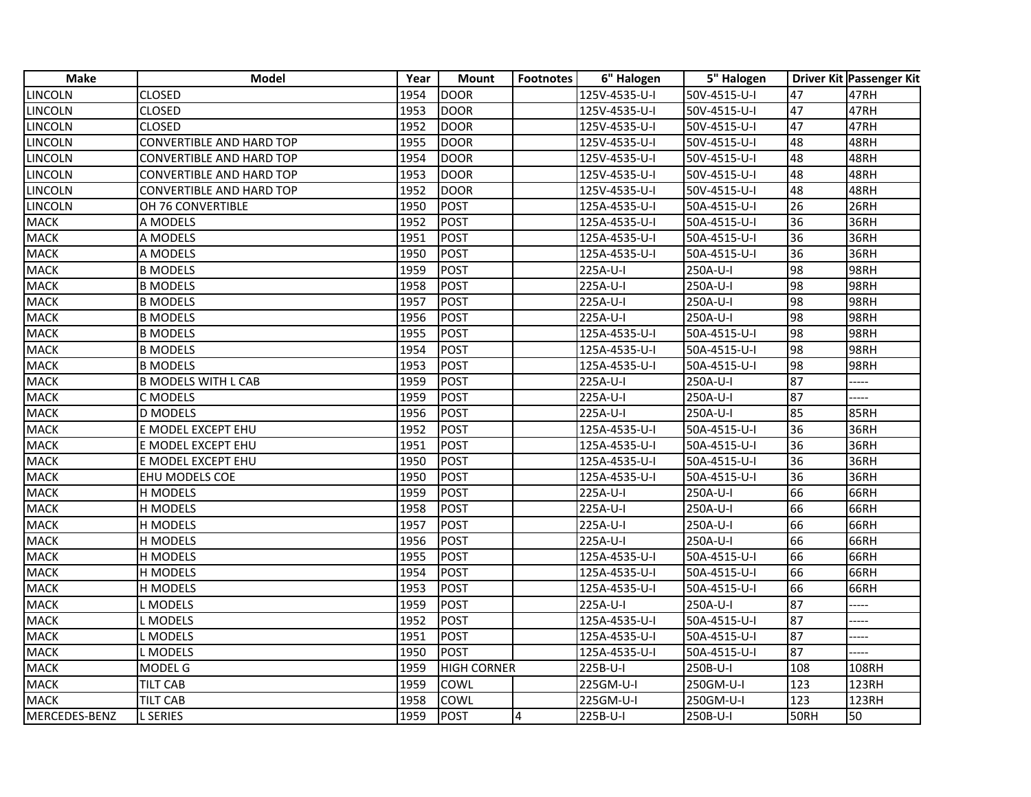| <b>Make</b>    | <b>Model</b>               | Year | <b>Mount</b>       | <b>Footnotes</b> | 6" Halogen            | 5" Halogen   |             | <b>Driver Kit Passenger Kit</b> |
|----------------|----------------------------|------|--------------------|------------------|-----------------------|--------------|-------------|---------------------------------|
| <b>LINCOLN</b> | CLOSED                     | 1954 | <b>DOOR</b>        |                  | $125V - 4535 - U - I$ | 50V-4515-U-I | 47          | 47RH                            |
| <b>LINCOLN</b> | <b>CLOSED</b>              | 1953 | <b>DOOR</b>        |                  | 125V-4535-U-I         | 50V-4515-U-I | 47          | 47RH                            |
| <b>LINCOLN</b> | CLOSED                     | 1952 | <b>DOOR</b>        |                  | 125V-4535-U-I         | 50V-4515-U-I | 47          | 47RH                            |
| <b>LINCOLN</b> | CONVERTIBLE AND HARD TOP   | 1955 | <b>DOOR</b>        |                  | 125V-4535-U-I         | 50V-4515-U-I | 48          | 48RH                            |
| LINCOLN        | CONVERTIBLE AND HARD TOP   | 1954 | <b>DOOR</b>        |                  | 125V-4535-U-I         | 50V-4515-U-I | 48          | 48RH                            |
| <b>LINCOLN</b> | CONVERTIBLE AND HARD TOP   | 1953 | <b>DOOR</b>        |                  | 125V-4535-U-I         | 50V-4515-U-I | 48          | 48RH                            |
| <b>LINCOLN</b> | CONVERTIBLE AND HARD TOP   | 1952 | <b>DOOR</b>        |                  | 125V-4535-U-I         | 50V-4515-U-I | 48          | 48RH                            |
| <b>LINCOLN</b> | OH 76 CONVERTIBLE          | 1950 | <b>POST</b>        |                  | 125A-4535-U-I         | 50A-4515-U-I | 26          | 26RH                            |
| <b>MACK</b>    | A MODELS                   | 1952 | <b>POST</b>        |                  | 125A-4535-U-I         | 50A-4515-U-I | 36          | 36RH                            |
| <b>MACK</b>    | A MODELS                   | 1951 | <b>POST</b>        |                  | 125A-4535-U-I         | 50A-4515-U-I | 36          | 36RH                            |
| <b>MACK</b>    | A MODELS                   | 1950 | <b>POST</b>        |                  | 125A-4535-U-I         | 50A-4515-U-I | 36          | 36RH                            |
| <b>MACK</b>    | <b>B MODELS</b>            | 1959 | <b>POST</b>        |                  | 225A-U-I              | 250A-U-I     | 98          | 98RH                            |
| <b>MACK</b>    | <b>B MODELS</b>            | 1958 | <b>POST</b>        |                  | 225A-U-I              | 250A-U-I     | 98          | 98RH                            |
| <b>MACK</b>    | <b>B MODELS</b>            | 1957 | <b>POST</b>        |                  | 225A-U-I              | 250A-U-I     | 98          | 98RH                            |
| <b>MACK</b>    | <b>B MODELS</b>            | 1956 | <b>POST</b>        |                  | 225A-U-I              | 250A-U-I     | 98          | 98RH                            |
| <b>MACK</b>    | <b>B MODELS</b>            | 1955 | <b>POST</b>        |                  | 125A-4535-U-I         | 50A-4515-U-I | 98          | 98RH                            |
| <b>MACK</b>    | <b>B MODELS</b>            | 1954 | <b>POST</b>        |                  | 125A-4535-U-I         | 50A-4515-U-I | 98          | 98RH                            |
| <b>MACK</b>    | <b>B MODELS</b>            | 1953 | <b>POST</b>        |                  | 125A-4535-U-I         | 50A-4515-U-I | 98          | 98RH                            |
| <b>MACK</b>    | <b>B MODELS WITH L CAB</b> | 1959 | <b>POST</b>        |                  | 225A-U-I              | 250A-U-I     | 87          |                                 |
| <b>MACK</b>    | C MODELS                   | 1959 | <b>POST</b>        |                  | 225A-U-I              | 250A-U-I     | 87          | -----                           |
| <b>MACK</b>    | <b>D MODELS</b>            | 1956 | <b>POST</b>        |                  | 225A-U-I              | 250A-U-I     | 85          | 85RH                            |
| <b>MACK</b>    | E MODEL EXCEPT EHU         | 1952 | <b>POST</b>        |                  | 125A-4535-U-I         | 50A-4515-U-I | 36          | 36RH                            |
| <b>MACK</b>    | E MODEL EXCEPT EHU         | 1951 | <b>POST</b>        |                  | 125A-4535-U-I         | 50A-4515-U-I | 36          | 36RH                            |
| <b>MACK</b>    | E MODEL EXCEPT EHU         | 1950 | <b>POST</b>        |                  | 125A-4535-U-I         | 50A-4515-U-I | 36          | 36RH                            |
| <b>MACK</b>    | EHU MODELS COE             | 1950 | <b>POST</b>        |                  | 125A-4535-U-I         | 50A-4515-U-I | 36          | 36RH                            |
| <b>MACK</b>    | H MODELS                   | 1959 | <b>POST</b>        |                  | 225A-U-I              | 250A-U-I     | 66          | 66RH                            |
| <b>MACK</b>    | H MODELS                   | 1958 | <b>POST</b>        |                  | 225A-U-I              | 250A-U-I     | 66          | 66RH                            |
| <b>MACK</b>    | H MODELS                   | 1957 | <b>POST</b>        |                  | 225A-U-I              | 250A-U-I     | 66          | 66RH                            |
| <b>MACK</b>    | H MODELS                   | 1956 | <b>POST</b>        |                  | 225A-U-I              | 250A-U-I     | 66          | 66RH                            |
| <b>MACK</b>    | H MODELS                   | 1955 | <b>POST</b>        |                  | 125A-4535-U-I         | 50A-4515-U-I | 66          | 66RH                            |
| <b>MACK</b>    | H MODELS                   | 1954 | <b>POST</b>        |                  | 125A-4535-U-I         | 50A-4515-U-I | 66          | 66RH                            |
| <b>MACK</b>    | H MODELS                   | 1953 | <b>POST</b>        |                  | 125A-4535-U-I         | 50A-4515-U-I | 66          | 66RH                            |
| <b>MACK</b>    | L MODELS                   | 1959 | <b>POST</b>        |                  | 225A-U-I              | 250A-U-I     | 87          | -----                           |
| <b>MACK</b>    | L MODELS                   | 1952 | <b>POST</b>        |                  | 125A-4535-U-I         | 50A-4515-U-I | 87          | -----                           |
| <b>MACK</b>    | L MODELS                   | 1951 | <b>POST</b>        |                  | 125A-4535-U-I         | 50A-4515-U-I | 87          |                                 |
| <b>MACK</b>    | L MODELS                   | 1950 | POST               |                  | 125A-4535-U-I         | 50A-4515-U-I | 87          | -----                           |
| <b>MACK</b>    | MODEL G                    | 1959 | <b>HIGH CORNER</b> |                  | 225B-U-I              | 250B-U-I     | 108         | 108RH                           |
| <b>MACK</b>    | TILT CAB                   | 1959 | COWL               |                  | 225GM-U-I             | 250GM-U-I    | 123         | 123RH                           |
| <b>MACK</b>    | <b>TILT CAB</b>            | 1958 | COWL               |                  | 225GM-U-I             | 250GM-U-I    | 123         | 123RH                           |
| MERCEDES-BENZ  | <b>L SERIES</b>            | 1959 | POST               | $\overline{4}$   | 225B-U-I              | 250B-U-I     | <b>50RH</b> | 50                              |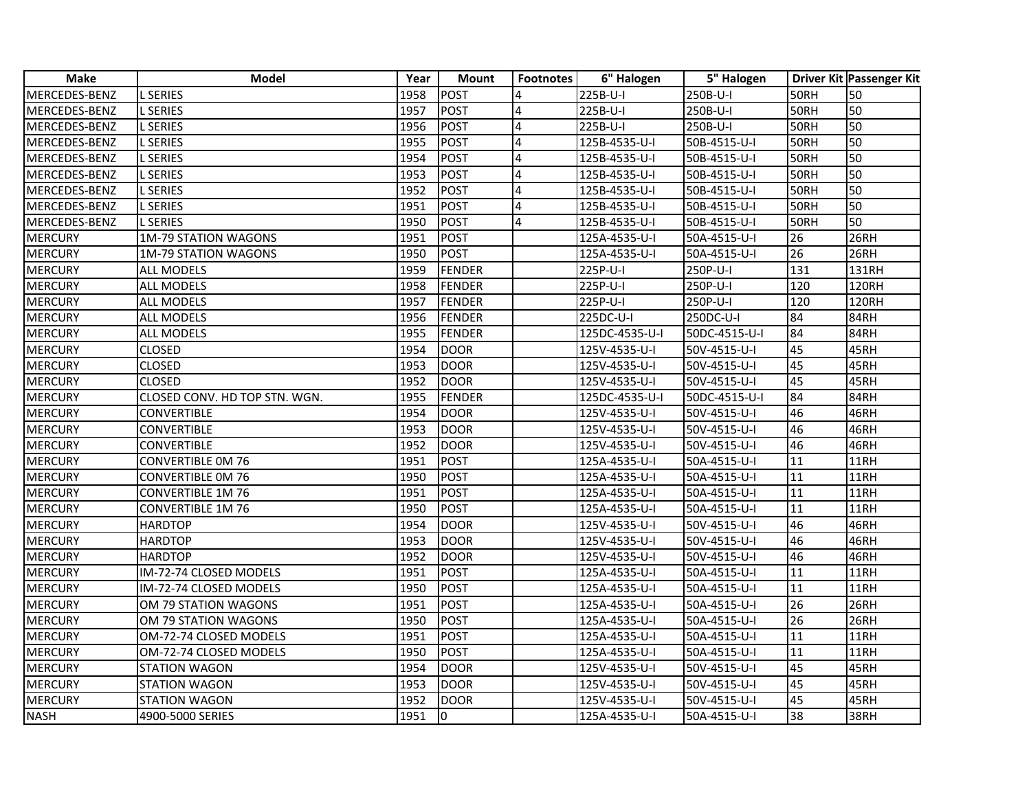| <b>Make</b>    | <b>Model</b>                  | Year | <b>Mount</b>  | <b>Footnotes</b> | 6" Halogen     | 5" Halogen    |                    | <b>Driver Kit Passenger Kit</b> |
|----------------|-------------------------------|------|---------------|------------------|----------------|---------------|--------------------|---------------------------------|
| MERCEDES-BENZ  | L SERIES                      | 1958 | <b>POST</b>   | 4                | 225B-U-I       | 250B-U-I      | 50RH               | 50                              |
| MERCEDES-BENZ  | <b>L SERIES</b>               | 1957 | POST          | $\overline{4}$   | 225B-U-I       | 250B-U-I      | 50RH               | 50                              |
| MERCEDES-BENZ  | <b>L SERIES</b>               | 1956 | <b>POST</b>   | 4                | 225B-U-I       | 250B-U-I      | 50RH               | 50                              |
| MERCEDES-BENZ  | <b>L SERIES</b>               | 1955 | <b>POST</b>   | $\overline{4}$   | 125B-4535-U-I  | 50B-4515-U-I  | <b>50RH</b>        | 50                              |
| MERCEDES-BENZ  | <b>L SERIES</b>               | 1954 | POST          | $\overline{4}$   | 125B-4535-U-I  | 50B-4515-U-I  | $\overline{5}$ ORH | 50                              |
| MERCEDES-BENZ  | <b>L SERIES</b>               | 1953 | POST          | $\overline{4}$   | 125B-4535-U-I  | 50B-4515-U-I  | 50RH               | 50                              |
| MERCEDES-BENZ  | <b>L SERIES</b>               | 1952 | POST          | $\overline{4}$   | 125B-4535-U-I  | 50B-4515-U-I  | 50RH               | 50                              |
| MERCEDES-BENZ  | <b>L SERIES</b>               | 1951 | POST          | 4                | 125B-4535-U-I  | 50B-4515-U-I  | <b>50RH</b>        | $\overline{50}$                 |
| MERCEDES-BENZ  | <b>L SERIES</b>               | 1950 | POST          | $\overline{4}$   | 125B-4535-U-I  | 50B-4515-U-I  | 50RH               | 50                              |
| <b>MERCURY</b> | <b>1M-79 STATION WAGONS</b>   | 1951 | <b>POST</b>   |                  | 125A-4535-U-I  | 50A-4515-U-I  | 26                 | 26RH                            |
| MERCURY        | <b>1M-79 STATION WAGONS</b>   | 1950 | POST          |                  | 125A-4535-U-I  | 50A-4515-U-I  | 26                 | 26RH                            |
| MERCURY        | <b>ALL MODELS</b>             | 1959 | FENDER        |                  | 225P-U-I       | 250P-U-I      | 131                | 131RH                           |
| MERCURY        | <b>ALL MODELS</b>             | 1958 | FENDER        |                  | 225P-U-I       | 250P-U-I      | 120                | <b>120RH</b>                    |
| MERCURY        | <b>ALL MODELS</b>             | 1957 | FENDER        |                  | 225P-U-I       | 250P-U-I      | 120                | 120RH                           |
| MERCURY        | ALL MODELS                    | 1956 | <b>FENDER</b> |                  | 225DC-U-I      | 250DC-U-I     | 84                 | 84RH                            |
| MERCURY        | ALL MODELS                    | 1955 | FENDER        |                  | 125DC-4535-U-I | 50DC-4515-U-I | 84                 | 84RH                            |
| MERCURY        | <b>CLOSED</b>                 | 1954 | DOOR          |                  | 125V-4535-U-I  | 50V-4515-U-I  | 45                 | 45RH                            |
| MERCURY        | <b>CLOSED</b>                 | 1953 | <b>DOOR</b>   |                  | 125V-4535-U-I  | 50V-4515-U-I  | 45                 | 45RH                            |
| MERCURY        | <b>CLOSED</b>                 | 1952 | DOOR          |                  | 125V-4535-U-I  | 50V-4515-U-I  | 45                 | 45RH                            |
| MERCURY        | CLOSED CONV. HD TOP STN. WGN. | 1955 | FENDER        |                  | 125DC-4535-U-I | 50DC-4515-U-I | 84                 | 84RH                            |
| MERCURY        | <b>CONVERTIBLE</b>            | 1954 | DOOR          |                  | 125V-4535-U-I  | 50V-4515-U-I  | 46                 | 46RH                            |
| MERCURY        | <b>CONVERTIBLE</b>            | 1953 | DOOR          |                  | 125V-4535-U-I  | 50V-4515-U-I  | 46                 | 46RH                            |
| <b>MERCURY</b> | <b>CONVERTIBLE</b>            | 1952 | DOOR          |                  | 125V-4535-U-I  | 50V-4515-U-I  | 46                 | 46RH                            |
| MERCURY        | <b>CONVERTIBLE OM 76</b>      | 1951 | POST          |                  | 125A-4535-U-I  | 50A-4515-U-I  | 11                 | 11RH                            |
| MERCURY        | <b>CONVERTIBLE OM 76</b>      | 1950 | POST          |                  | 125A-4535-U-I  | 50A-4515-U-I  | $\overline{11}$    | 11RH                            |
| MERCURY        | <b>CONVERTIBLE 1M 76</b>      | 1951 | <b>POST</b>   |                  | 125A-4535-U-I  | 50A-4515-U-I  | 11                 | 11RH                            |
| <b>MERCURY</b> | <b>CONVERTIBLE 1M76</b>       | 1950 | <b>POST</b>   |                  | 125A-4535-U-I  | 50A-4515-U-I  | 11                 | 11RH                            |
| MERCURY        | <b>HARDTOP</b>                | 1954 | DOOR          |                  | 125V-4535-U-I  | 50V-4515-U-I  | 46                 | 46RH                            |
| <b>MERCURY</b> | <b>HARDTOP</b>                | 1953 | DOOR          |                  | 125V-4535-U-I  | 50V-4515-U-I  | 46                 | 46RH                            |
| <b>MERCURY</b> | <b>HARDTOP</b>                | 1952 | DOOR          |                  | 125V-4535-U-I  | 50V-4515-U-I  | 46                 | 46RH                            |
| MERCURY        | IM-72-74 CLOSED MODELS        | 1951 | POST          |                  | 125A-4535-U-I  | 50A-4515-U-I  | $\overline{11}$    | 11RH                            |
| MERCURY        | IM-72-74 CLOSED MODELS        | 1950 | POST          |                  | 125A-4535-U-I  | 50A-4515-U-I  | 11                 | 11RH                            |
| <b>MERCURY</b> | OM 79 STATION WAGONS          | 1951 | POST          |                  | 125A-4535-U-I  | 50A-4515-U-I  | 26                 | 26RH                            |
| MERCURY        | OM 79 STATION WAGONS          | 1950 | POST          |                  | 125A-4535-U-I  | 50A-4515-U-I  | 26                 | 26RH                            |
| MERCURY        | OM-72-74 CLOSED MODELS        | 1951 | POST          |                  | 125A-4535-U-I  | 50A-4515-U-I  | 11                 | 11RH                            |
| MERCURY        | OM-72-74 CLOSED MODELS        | 1950 | POST          |                  | 125A-4535-U-I  | 50A-4515-U-I  | 11                 | 11RH                            |
| MERCURY        | <b>STATION WAGON</b>          | 1954 | <b>DOOR</b>   |                  | 125V-4535-U-I  | 50V-4515-U-I  | 45                 | 45RH                            |
| MERCURY        | <b>STATION WAGON</b>          | 1953 | DOOR          |                  | 125V-4535-U-I  | 50V-4515-U-I  | 45                 | 45RH                            |
| MERCURY        | <b>STATION WAGON</b>          | 1952 | <b>DOOR</b>   |                  | 125V-4535-U-I  | 50V-4515-U-I  | 45                 | 45RH                            |
| <b>NASH</b>    | 4900-5000 SERIES              | 1951 | Iо            |                  | 125A-4535-U-I  | 50A-4515-U-I  | 38                 | 38RH                            |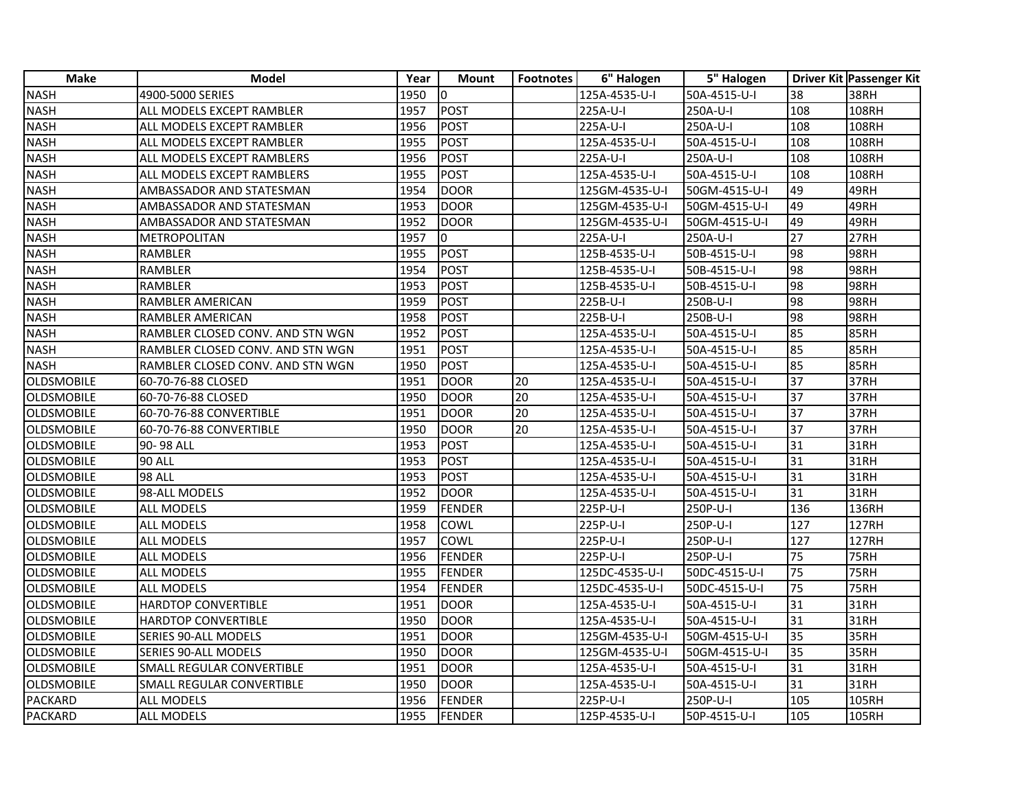| <b>Make</b>       | <b>Model</b>                     | Year | <b>Mount</b>  | <b>Footnotes</b> | 6" Halogen     | 5" Halogen    |                 | Driver Kit Passenger Kit |
|-------------------|----------------------------------|------|---------------|------------------|----------------|---------------|-----------------|--------------------------|
| <b>NASH</b>       | 4900-5000 SERIES                 | 1950 | Iо            |                  | 125A-4535-U-I  | 50A-4515-U-I  | 38              | 38RH                     |
| <b>NASH</b>       | ALL MODELS EXCEPT RAMBLER        | 1957 | POST          |                  | 225A-U-I       | 250A-U-I      | 108             | 108RH                    |
| <b>NASH</b>       | ALL MODELS EXCEPT RAMBLER        | 1956 | POST          |                  | 225A-U-I       | 250A-U-I      | 108             | 108RH                    |
| <b>NASH</b>       | ALL MODELS EXCEPT RAMBLER        | 1955 | POST          |                  | 125A-4535-U-I  | 50A-4515-U-I  | 108             | 108RH                    |
| <b>NASH</b>       | ALL MODELS EXCEPT RAMBLERS       | 1956 | POST          |                  | 225A-U-I       | 250A-U-I      | 108             | 108RH                    |
| <b>NASH</b>       | ALL MODELS EXCEPT RAMBLERS       | 1955 | POST          |                  | 125A-4535-U-I  | 50A-4515-U-I  | 108             | 108RH                    |
| <b>NASH</b>       | AMBASSADOR AND STATESMAN         | 1954 | DOOR          |                  | 125GM-4535-U-I | 50GM-4515-U-I | 49              | 49RH                     |
| <b>NASH</b>       | AMBASSADOR AND STATESMAN         | 1953 | <b>DOOR</b>   |                  | 125GM-4535-U-I | 50GM-4515-U-I | 49              | 49RH                     |
| <b>NASH</b>       | AMBASSADOR AND STATESMAN         | 1952 | <b>DOOR</b>   |                  | 125GM-4535-U-I | 50GM-4515-U-I | 49              | 49RH                     |
| <b>NASH</b>       | METROPOLITAN                     | 1957 | Io.           |                  | 225A-U-I       | 250A-U-I      | 27              | 27RH                     |
| <b>NASH</b>       | RAMBLER                          | 1955 | POST          |                  | 125B-4535-U-I  | 50B-4515-U-I  | 98              | 98RH                     |
| <b>NASH</b>       | <b>RAMBLER</b>                   | 1954 | POST          |                  | 125B-4535-U-I  | 50B-4515-U-I  | 98              | <b>98RH</b>              |
| <b>NASH</b>       | <b>RAMBLER</b>                   | 1953 | POST          |                  | 125B-4535-U-I  | 50B-4515-U-I  | 98              | <b>98RH</b>              |
| <b>NASH</b>       | RAMBLER AMERICAN                 | 1959 | <b>POST</b>   |                  | 225B-U-I       | 250B-U-I      | 98              | 98RH                     |
| <b>NASH</b>       | RAMBLER AMERICAN                 | 1958 | POST          |                  | 225B-U-I       | 250B-U-I      | 98              | 98RH                     |
| <b>NASH</b>       | RAMBLER CLOSED CONV. AND STN WGN | 1952 | POST          |                  | 125A-4535-U-I  | 50A-4515-U-I  | 85              | 85RH                     |
| <b>NASH</b>       | RAMBLER CLOSED CONV. AND STN WGN | 1951 | POST          |                  | 125A-4535-U-I  | 50A-4515-U-I  | 85              | 85RH                     |
| <b>NASH</b>       | RAMBLER CLOSED CONV. AND STN WGN | 1950 | POST          |                  | 125A-4535-U-I  | 50A-4515-U-I  | 85              | 85RH                     |
| <b>OLDSMOBILE</b> | 60-70-76-88 CLOSED               | 1951 | DOOR          | 20               | 125A-4535-U-I  | 50A-4515-U-I  | 37              | 37RH                     |
| <b>OLDSMOBILE</b> | 60-70-76-88 CLOSED               | 1950 | DOOR          | 20               | 125A-4535-U-I  | 50A-4515-U-I  | $\overline{37}$ | 37RH                     |
| <b>OLDSMOBILE</b> | 60-70-76-88 CONVERTIBLE          | 1951 | <b>DOOR</b>   | 20               | 125A-4535-U-I  | 50A-4515-U-I  | 37              | 37RH                     |
| OLDSMOBILE        | 60-70-76-88 CONVERTIBLE          | 1950 | <b>DOOR</b>   | 20               | 125A-4535-U-I  | 50A-4515-U-I  | 37              | 37RH                     |
| <b>OLDSMOBILE</b> | 90-98 ALL                        | 1953 | POST          |                  | 125A-4535-U-I  | 50A-4515-U-I  | 31              | <b>31RH</b>              |
| <b>OLDSMOBILE</b> | <b>90 ALL</b>                    | 1953 | POST          |                  | 125A-4535-U-I  | 50A-4515-U-I  | 31              | 31RH                     |
| <b>OLDSMOBILE</b> | <b>98 ALL</b>                    | 1953 | POST          |                  | 125A-4535-U-I  | 50A-4515-U-I  | 31              | 31RH                     |
| <b>OLDSMOBILE</b> | 98-ALL MODELS                    | 1952 | <b>DOOR</b>   |                  | 125A-4535-U-I  | 50A-4515-U-I  | 31              | 31RH                     |
| <b>OLDSMOBILE</b> | <b>ALL MODELS</b>                | 1959 | <b>FENDER</b> |                  | 225P-U-I       | 250P-U-I      | 136             | 136RH                    |
| <b>OLDSMOBILE</b> | ALL MODELS                       | 1958 | <b>COWL</b>   |                  | 225P-U-I       | 250P-U-I      | 127             | <b>127RH</b>             |
| <b>OLDSMOBILE</b> | ALL MODELS                       | 1957 | <b>COWL</b>   |                  | 225P-U-I       | 250P-U-I      | 127             | <b>127RH</b>             |
| OLDSMOBILE        | <b>ALL MODELS</b>                | 1956 | FENDER        |                  | 225P-U-I       | 250P-U-I      | 75              | <b>75RH</b>              |
| OLDSMOBILE        | ALL MODELS                       | 1955 | FENDER        |                  | 125DC-4535-U-I | 50DC-4515-U-I | 75              | 75RH                     |
| <b>OLDSMOBILE</b> | ALL MODELS                       | 1954 | FENDER        |                  | 125DC-4535-U-I | 50DC-4515-U-I | 75              | <b>75RH</b>              |
| <b>OLDSMOBILE</b> | <b>HARDTOP CONVERTIBLE</b>       | 1951 | <b>DOOR</b>   |                  | 125A-4535-U-I  | 50A-4515-U-I  | 31              | 31RH                     |
| <b>OLDSMOBILE</b> | <b>HARDTOP CONVERTIBLE</b>       | 1950 | <b>DOOR</b>   |                  | 125A-4535-U-I  | 50A-4515-U-I  | 31              | 31RH                     |
| OLDSMOBILE        | SERIES 90-ALL MODELS             | 1951 | <b>DOOR</b>   |                  | 125GM-4535-U-I | 50GM-4515-U-I | 35              | 35RH                     |
| <b>OLDSMOBILE</b> | SERIES 90-ALL MODELS             | 1950 | DOOR          |                  | 125GM-4535-U-I | 50GM-4515-U-I | 35              | <b>35RH</b>              |
| <b>OLDSMOBILE</b> | SMALL REGULAR CONVERTIBLE        | 1951 | <b>DOOR</b>   |                  | 125A-4535-U-I  | 50A-4515-U-I  | 31              | 31RH                     |
| <b>OLDSMOBILE</b> | SMALL REGULAR CONVERTIBLE        | 1950 | <b>DOOR</b>   |                  | 125A-4535-U-I  | 50A-4515-U-I  | 31              | 31RH                     |
| PACKARD           | ALL MODELS                       | 1956 | FENDER        |                  | 225P-U-I       | 250P-U-I      | 105             | 105RH                    |
| <b>PACKARD</b>    | <b>ALL MODELS</b>                | 1955 | FENDER        |                  | 125P-4535-U-I  | 50P-4515-U-I  | 105             | 105RH                    |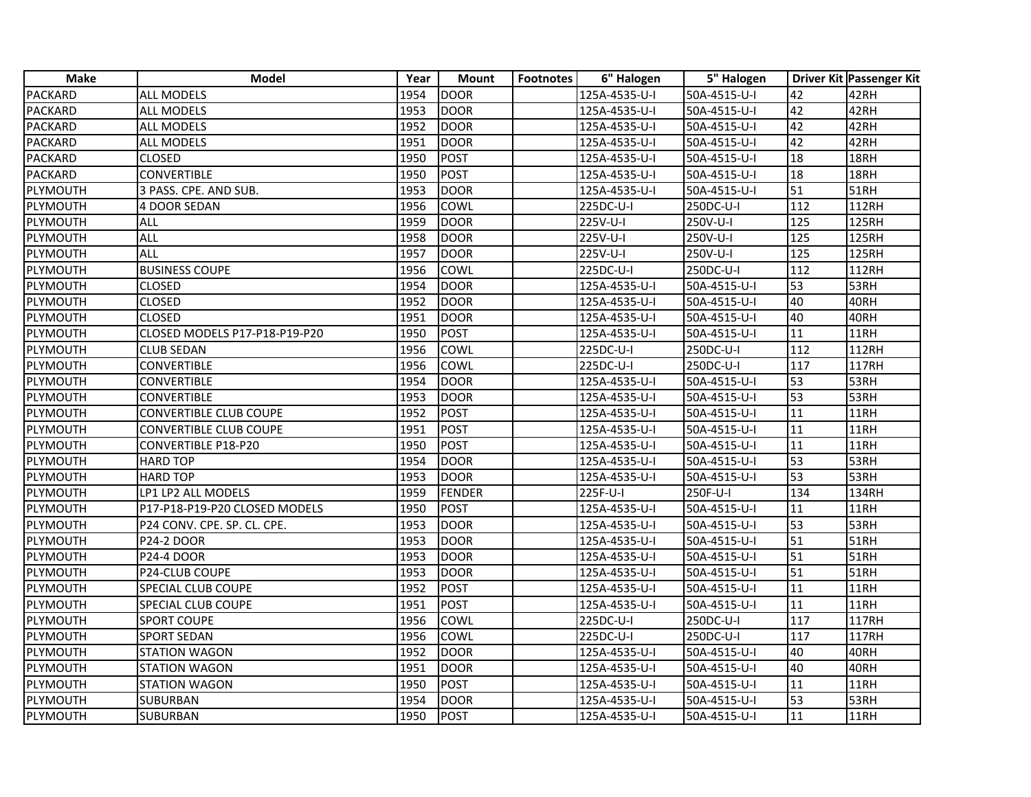| <b>Make</b>    | <b>Model</b>                  | Year | <b>Mount</b>  | <b>Footnotes</b> | 6" Halogen    | 5" Halogen   |                 | Driver Kit Passenger Kit |
|----------------|-------------------------------|------|---------------|------------------|---------------|--------------|-----------------|--------------------------|
| PACKARD        | <b>ALL MODELS</b>             | 1954 | <b>DOOR</b>   |                  | 125A-4535-U-I | 50A-4515-U-I | 42              | 42RH                     |
| PACKARD        | <b>ALL MODELS</b>             | 1953 | <b>DOOR</b>   |                  | 125A-4535-U-I | 50A-4515-U-I | 42              | 42RH                     |
| <b>PACKARD</b> | <b>ALL MODELS</b>             | 1952 | <b>DOOR</b>   |                  | 125A-4535-U-I | 50A-4515-U-I | 42              | 42RH                     |
| <b>PACKARD</b> | <b>ALL MODELS</b>             | 1951 | <b>DOOR</b>   |                  | 125A-4535-U-I | 50A-4515-U-I | 42              | 42RH                     |
| <b>PACKARD</b> | <b>CLOSED</b>                 | 1950 | <b>POST</b>   |                  | 125A-4535-U-I | 50A-4515-U-I | 18              | 18RH                     |
| PACKARD        | <b>CONVERTIBLE</b>            | 1950 | <b>POST</b>   |                  | 125A-4535-U-I | 50A-4515-U-I | 18              | 18RH                     |
| PLYMOUTH       | 3 PASS. CPE. AND SUB.         | 1953 | <b>DOOR</b>   |                  | 125A-4535-U-I | 50A-4515-U-I | 51              | 51RH                     |
| PLYMOUTH       | 4 DOOR SEDAN                  | 1956 | COWL          |                  | 225DC-U-I     | 250DC-U-I    | 112             | 112RH                    |
| PLYMOUTH       | ALL                           | 1959 | <b>DOOR</b>   |                  | 225V-U-I      | 250V-U-I     | 125             | 125RH                    |
| PLYMOUTH       | <b>ALL</b>                    | 1958 | <b>DOOR</b>   |                  | 225V-U-I      | 250V-U-I     | 125             | <b>125RH</b>             |
| PLYMOUTH       | <b>ALL</b>                    | 1957 | <b>DOOR</b>   |                  | 225V-U-I      | 250V-U-I     | $\frac{125}{2}$ | <b>125RH</b>             |
| PLYMOUTH       | <b>BUSINESS COUPE</b>         | 1956 | <b>COWL</b>   |                  | 225DC-U-I     | 250DC-U-I    | 112             | 112RH                    |
| PLYMOUTH       | <b>CLOSED</b>                 | 1954 | <b>DOOR</b>   |                  | 125A-4535-U-I | 50A-4515-U-I | 53              | 53RH                     |
| PLYMOUTH       | <b>CLOSED</b>                 | 1952 | <b>DOOR</b>   |                  | 125A-4535-U-I | 50A-4515-U-I | 40              | 40RH                     |
| PLYMOUTH       | <b>CLOSED</b>                 | 1951 | <b>DOOR</b>   |                  | 125A-4535-U-I | 50A-4515-U-I | 40              | 40RH                     |
| PLYMOUTH       | CLOSED MODELS P17-P18-P19-P20 | 1950 | <b>POST</b>   |                  | 125A-4535-U-I | 50A-4515-U-I | 11              | 11RH                     |
| PLYMOUTH       | <b>CLUB SEDAN</b>             | 1956 | COWL          |                  | 225DC-U-I     | 250DC-U-I    | 112             | 112RH                    |
| PLYMOUTH       | <b>CONVERTIBLE</b>            | 1956 | COWL          |                  | 225DC-U-I     | 250DC-U-I    | 117             | <b>117RH</b>             |
| PLYMOUTH       | <b>CONVERTIBLE</b>            | 1954 | <b>DOOR</b>   |                  | 125A-4535-U-I | 50A-4515-U-I | 53              | 53RH                     |
| PLYMOUTH       | <b>CONVERTIBLE</b>            | 1953 | <b>DOOR</b>   |                  | 125A-4535-U-I | 50A-4515-U-I | 53              | 53RH                     |
| PLYMOUTH       | CONVERTIBLE CLUB COUPE        | 1952 | <b>POST</b>   |                  | 125A-4535-U-I | 50A-4515-U-I | 11              | 11RH                     |
| PLYMOUTH       | CONVERTIBLE CLUB COUPE        | 1951 | <b>POST</b>   |                  | 125A-4535-U-I | 50A-4515-U-I | 11              | <b>11RH</b>              |
| PLYMOUTH       | CONVERTIBLE P18-P20           | 1950 | <b>POST</b>   |                  | 125A-4535-U-I | 50A-4515-U-I | 11              | 11RH                     |
| PLYMOUTH       | <b>HARD TOP</b>               | 1954 | <b>DOOR</b>   |                  | 125A-4535-U-I | 50A-4515-U-I | 53              | 53RH                     |
| PLYMOUTH       | <b>HARD TOP</b>               | 1953 | <b>DOOR</b>   |                  | 125A-4535-U-I | 50A-4515-U-I | 53              | 53RH                     |
| PLYMOUTH       | LP1 LP2 ALL MODELS            | 1959 | <b>FENDER</b> |                  | 225F-U-I      | 250F-U-I     | 134             | 134RH                    |
| PLYMOUTH       | P17-P18-P19-P20 CLOSED MODELS | 1950 | <b>POST</b>   |                  | 125A-4535-U-I | 50A-4515-U-I | 11              | 11RH                     |
| PLYMOUTH       | P24 CONV. CPE. SP. CL. CPE.   | 1953 | <b>DOOR</b>   |                  | 125A-4535-U-I | 50A-4515-U-I | 53              | 53RH                     |
| PLYMOUTH       | <b>P24-2 DOOR</b>             | 1953 | <b>DOOR</b>   |                  | 125A-4535-U-I | 50A-4515-U-I | 51              | <b>51RH</b>              |
| PLYMOUTH       | <b>P24-4 DOOR</b>             | 1953 | <b>DOOR</b>   |                  | 125A-4535-U-I | 50A-4515-U-I | 51              | 51RH                     |
| PLYMOUTH       | P24-CLUB COUPE                | 1953 | <b>DOOR</b>   |                  | 125A-4535-U-I | 50A-4515-U-I | 51              | <b>51RH</b>              |
| PLYMOUTH       | SPECIAL CLUB COUPE            | 1952 | <b>POST</b>   |                  | 125A-4535-U-I | 50A-4515-U-I | 11              | 11RH                     |
| PLYMOUTH       | SPECIAL CLUB COUPE            | 1951 | <b>POST</b>   |                  | 125A-4535-U-I | 50A-4515-U-I | 11              | 11RH                     |
| PLYMOUTH       | <b>SPORT COUPE</b>            | 1956 | COWL          |                  | 225DC-U-I     | 250DC-U-I    | 117             | <b>117RH</b>             |
| PLYMOUTH       | <b>SPORT SEDAN</b>            | 1956 | <b>COWL</b>   |                  | 225DC-U-I     | 250DC-U-I    | 117             | <b>117RH</b>             |
| PLYMOUTH       | <b>STATION WAGON</b>          | 1952 | <b>DOOR</b>   |                  | 125A-4535-U-I | 50A-4515-U-I | 40              | 40RH                     |
| PLYMOUTH       | <b>STATION WAGON</b>          | 1951 | <b>DOOR</b>   |                  | 125A-4535-U-I | 50A-4515-U-I | 40              | 40RH                     |
| PLYMOUTH       | <b>STATION WAGON</b>          | 1950 | <b>POST</b>   |                  | 125A-4535-U-I | 50A-4515-U-I | 11              | 11RH                     |
| PLYMOUTH       | <b>SUBURBAN</b>               | 1954 | <b>DOOR</b>   |                  | 125A-4535-U-I | 50A-4515-U-I | 53              | 53RH                     |
| PLYMOUTH       | <b>SUBURBAN</b>               | 1950 | POST          |                  | 125A-4535-U-I | 50A-4515-U-I | 11              | 11RH                     |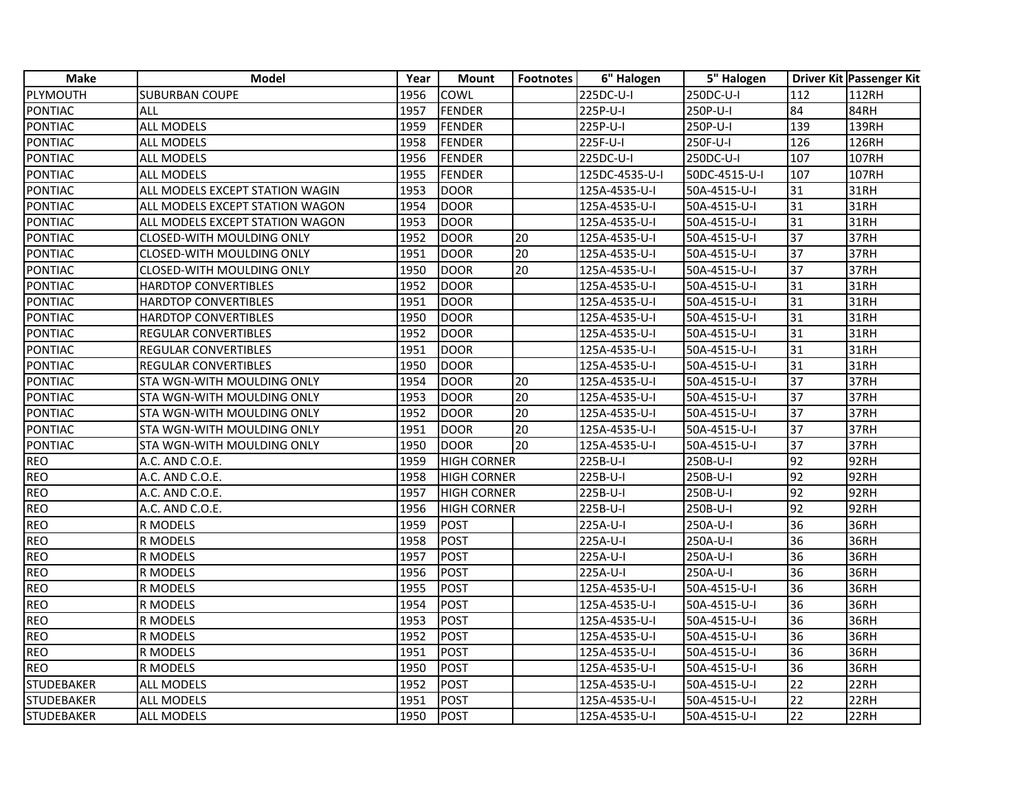| <b>Make</b>       | <b>Model</b>                     | Year | <b>Mount</b>       | <b>Footnotes</b> | 6" Halogen     | 5" Halogen    |                 | Driver Kit Passenger Kit |
|-------------------|----------------------------------|------|--------------------|------------------|----------------|---------------|-----------------|--------------------------|
| PLYMOUTH          | <b>SUBURBAN COUPE</b>            | 1956 | <b>COWL</b>        |                  | 225DC-U-I      | 250DC-U-I     | 112             | <b>112RH</b>             |
| <b>PONTIAC</b>    | <b>ALL</b>                       | 1957 | FENDER             |                  | 225P-U-I       | 250P-U-I      | 84              | 84RH                     |
| <b>PONTIAC</b>    | <b>ALL MODELS</b>                | 1959 | <b>FENDER</b>      |                  | 225P-U-I       | 250P-U-I      | 139             | 139RH                    |
| PONTIAC           | <b>ALL MODELS</b>                | 1958 | <b>FENDER</b>      |                  | 225F-U-I       | 250F-U-I      | 126             | 126RH                    |
| PONTIAC           | ALL MODELS                       | 1956 | FENDER             |                  | 225DC-U-I      | 250DC-U-I     | 107             | 107RH                    |
| PONTIAC           | ALL MODELS                       | 1955 | FENDER             |                  | 125DC-4535-U-I | 50DC-4515-U-I | 107             | 107RH                    |
| <b>PONTIAC</b>    | ALL MODELS EXCEPT STATION WAGIN  | 1953 | <b>DOOR</b>        |                  | 125A-4535-U-I  | 50A-4515-U-I  | 31              | 31RH                     |
| <b>PONTIAC</b>    | ALL MODELS EXCEPT STATION WAGON  | 1954 | <b>DOOR</b>        |                  | 125A-4535-U-I  | 50A-4515-U-I  | 31              | 31RH                     |
| PONTIAC           | ALL MODELS EXCEPT STATION WAGON  | 1953 | <b>DOOR</b>        |                  | 125A-4535-U-I  | 50A-4515-U-I  | 31              | 31RH                     |
| PONTIAC           | CLOSED-WITH MOULDING ONLY        | 1952 | <b>DOOR</b>        | 20               | 125A-4535-U-I  | 50A-4515-U-I  | 37              | 37RH                     |
| PONTIAC           | <b>CLOSED-WITH MOULDING ONLY</b> | 1951 | DOOR               | 20               | 125A-4535-U-I  | 50A-4515-U-I  | 37              | 37RH                     |
| PONTIAC           | CLOSED-WITH MOULDING ONLY        | 1950 | <b>DOOR</b>        | 20               | 125A-4535-U-I  | 50A-4515-U-I  | 37              | 37RH                     |
| PONTIAC           | <b>HARDTOP CONVERTIBLES</b>      | 1952 | DOOR               |                  | 125A-4535-U-I  | 50A-4515-U-I  | 31              | 31RH                     |
| PONTIAC           | HARDTOP CONVERTIBLES             | 1951 | <b>DOOR</b>        |                  | 125A-4535-U-I  | 50A-4515-U-I  | 31              | 31RH                     |
| PONTIAC           | <b>HARDTOP CONVERTIBLES</b>      | 1950 | <b>DOOR</b>        |                  | 125A-4535-U-I  | 50A-4515-U-I  | 31              | 31RH                     |
| PONTIAC           | REGULAR CONVERTIBLES             | 1952 | <b>DOOR</b>        |                  | 125A-4535-U-I  | 50A-4515-U-I  | 31              | 31RH                     |
| PONTIAC           | REGULAR CONVERTIBLES             | 1951 | <b>DOOR</b>        |                  | 125A-4535-U-I  | 50A-4515-U-I  | 31              | 31RH                     |
| <b>PONTIAC</b>    | REGULAR CONVERTIBLES             | 1950 | <b>DOOR</b>        |                  | 125A-4535-U-I  | 50A-4515-U-I  | 31              | 31RH                     |
| <b>PONTIAC</b>    | STA WGN-WITH MOULDING ONLY       | 1954 | <b>DOOR</b>        | 20               | 125A-4535-U-I  | 50A-4515-U-I  | 37              | 37RH                     |
| PONTIAC           | STA WGN-WITH MOULDING ONLY       | 1953 | <b>DOOR</b>        | 20               | 125A-4535-U-I  | 50A-4515-U-I  | 37              | 37RH                     |
| PONTIAC           | STA WGN-WITH MOULDING ONLY       | 1952 | <b>DOOR</b>        | 20               | 125A-4535-U-I  | 50A-4515-U-I  | 37              | 37RH                     |
| PONTIAC           | STA WGN-WITH MOULDING ONLY       | 1951 | <b>DOOR</b>        | 20               | 125A-4535-U-I  | 50A-4515-U-I  | 37              | 37RH                     |
| PONTIAC           | STA WGN-WITH MOULDING ONLY       | 1950 | DOOR               | 20               | 125A-4535-U-I  | 50A-4515-U-I  | $\overline{37}$ | 37RH                     |
| <b>REO</b>        | A.C. AND C.O.E.                  | 1959 | <b>HIGH CORNER</b> |                  | 225B-U-I       | 250B-U-I      | 92              | 92RH                     |
| <b>REO</b>        | A.C. AND C.O.E.                  | 1958 | <b>HIGH CORNER</b> |                  | 225B-U-I       | 250B-U-I      | 92              | 92RH                     |
| <b>REO</b>        | A.C. AND C.O.E.                  | 1957 | <b>HIGH CORNER</b> |                  | 225B-U-I       | 250B-U-I      | 92              | 92RH                     |
| <b>REO</b>        | A.C. AND C.O.E.                  | 1956 | <b>HIGH CORNER</b> |                  | 225B-U-I       | 250B-U-I      | 92              | 92RH                     |
| <b>REO</b>        | R MODELS                         | 1959 | POST               |                  | 225A-U-I       | 250A-U-I      | 36              | 36RH                     |
| <b>REO</b>        | R MODELS                         | 1958 | POST               |                  | 225A-U-I       | 250A-U-I      | 36              | 36RH                     |
| <b>REO</b>        | R MODELS                         | 1957 | POST               |                  | 225A-U-I       | 250A-U-I      | 36              | 36RH                     |
| <b>REO</b>        | R MODELS                         | 1956 | POST               |                  | 225A-U-I       | 250A-U-I      | 36              | 36RH                     |
| <b>REO</b>        | R MODELS                         | 1955 | POST               |                  | 125A-4535-U-I  | 50A-4515-U-I  | 36              | 36RH                     |
| <b>REO</b>        | R MODELS                         | 1954 | POST               |                  | 125A-4535-U-I  | 50A-4515-U-I  | 36              | 36RH                     |
| <b>REO</b>        | R MODELS                         | 1953 | POST               |                  | 125A-4535-U-I  | 50A-4515-U-I  | 36              | 36RH                     |
| <b>REO</b>        | R MODELS                         | 1952 | <b>POST</b>        |                  | 125A-4535-U-I  | 50A-4515-U-I  | 36              | 36RH                     |
| <b>REO</b>        | R MODELS                         | 1951 | POST               |                  | 125A-4535-U-I  | 50A-4515-U-I  | 36              | 36RH                     |
| <b>REO</b>        | R MODELS                         | 1950 | POST               |                  | 125A-4535-U-I  | 50A-4515-U-I  | 36              | 36RH                     |
| <b>STUDEBAKER</b> | ALL MODELS                       | 1952 | <b>POST</b>        |                  | 125A-4535-U-I  | 50A-4515-U-I  | $\overline{22}$ | 22RH                     |
| <b>STUDEBAKER</b> | ALL MODELS                       | 1951 | POST               |                  | 125A-4535-U-I  | 50A-4515-U-I  | 22              | 22RH                     |
| <b>STUDEBAKER</b> | <b>ALL MODELS</b>                | 1950 | POST               |                  | 125A-4535-U-I  | 50A-4515-U-I  | $\overline{22}$ | 22RH                     |